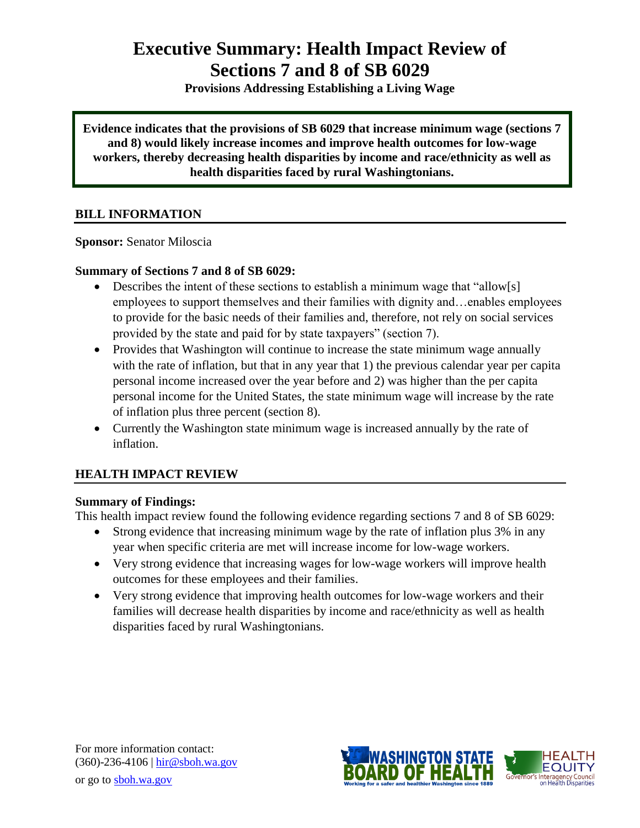# **Executive Summary: Health Impact Review of Sections 7 and 8 of SB 6029**

**Provisions Addressing Establishing a Living Wage**

**Evidence indicates that the provisions of SB 6029 that increase minimum wage (sections 7 and 8) would likely increase incomes and improve health outcomes for low-wage workers, thereby decreasing health disparities by income and race/ethnicity as well as health disparities faced by rural Washingtonians.**

# **BILL INFORMATION**

**Sponsor:** Senator [Miloscia](http://www.leg.wa.gov/senate/senators/pages/default.aspx#miloscia)

# **Summary of Sections 7 and 8 of SB 6029:**

- Describes the intent of these sections to establish a minimum wage that "allow[s] employees to support themselves and their families with dignity and…enables employees to provide for the basic needs of their families and, therefore, not rely on social services provided by the state and paid for by state taxpayers" (section 7).
- Provides that Washington will continue to increase the state minimum wage annually with the rate of inflation, but that in any year that 1) the previous calendar year per capita personal income increased over the year before and 2) was higher than the per capita personal income for the United States, the state minimum wage will increase by the rate of inflation plus three percent (section 8).
- Currently the Washington state minimum wage is increased annually by the rate of inflation.

# **HEALTH IMPACT REVIEW**

# **Summary of Findings:**

This health impact review found the following evidence regarding sections 7 and 8 of SB 6029:

- Strong evidence that increasing minimum wage by the rate of inflation plus 3% in any year when specific criteria are met will increase income for low-wage workers.
- Very strong evidence that increasing wages for low-wage workers will improve health outcomes for these employees and their families.
- Very strong evidence that improving health outcomes for low-wage workers and their families will decrease health disparities by income and race/ethnicity as well as health disparities faced by rural Washingtonians.



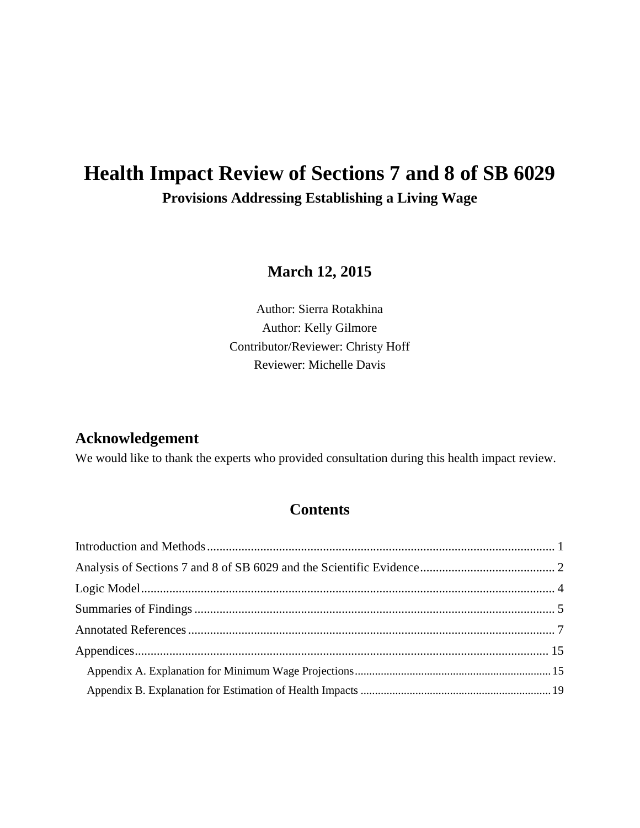# **Health Impact Review of Sections 7 and 8 of SB 6029 Provisions Addressing Establishing a Living Wage**

**March 12, 2015**

Author: Sierra Rotakhina Author: Kelly Gilmore Contributor/Reviewer: Christy Hoff Reviewer: Michelle Davis

# **Acknowledgement**

We would like to thank the experts who provided consultation during this health impact review.

# **Contents**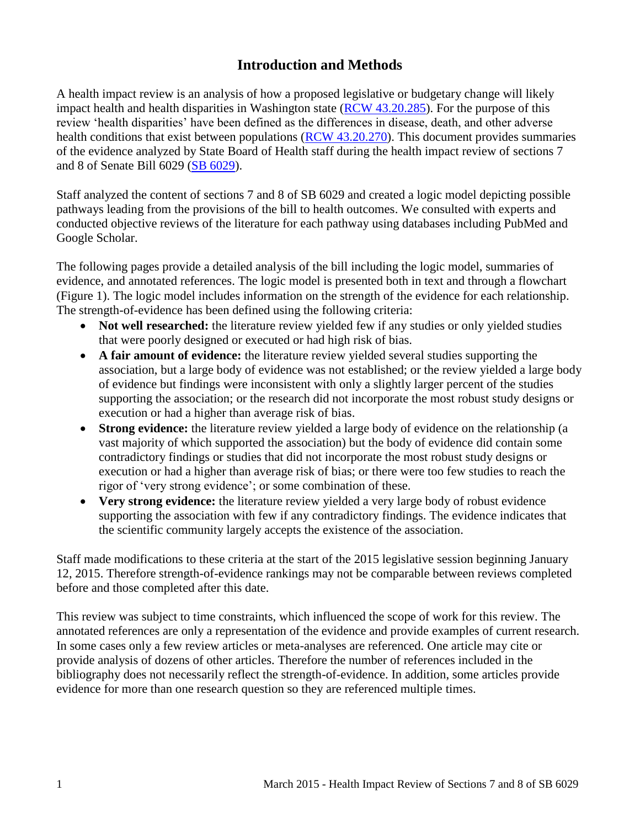# **Introduction and Methods**

<span id="page-2-0"></span>A health impact review is an analysis of how a proposed legislative or budgetary change will likely impact health and health disparities in Washington state [\(RCW 43.20.285\)](http://apps.leg.wa.gov/rcw/default.aspx?cite=43.20.285). For the purpose of this review 'health disparities' have been defined as the differences in disease, death, and other adverse health conditions that exist between populations [\(RCW 43.20.270\)](http://apps.leg.wa.gov/rcw/default.aspx?cite=43.20.270). This document provides summaries of the evidence analyzed by State Board of Health staff during the health impact review of sections 7 and 8 of Senate Bill 6029 [\(SB 6029\)](http://lawfilesext.leg.wa.gov/biennium/2015-16/Pdf/Bills/Senate%20Bills/6029.pdf).

Staff analyzed the content of sections 7 and 8 of SB 6029 and created a logic model depicting possible pathways leading from the provisions of the bill to health outcomes. We consulted with experts and conducted objective reviews of the literature for each pathway using databases including PubMed and Google Scholar.

The following pages provide a detailed analysis of the bill including the logic model, summaries of evidence, and annotated references. The logic model is presented both in text and through a flowchart (Figure 1). The logic model includes information on the strength of the evidence for each relationship. The strength-of-evidence has been defined using the following criteria:

- Not well researched: the literature review yielded few if any studies or only yielded studies that were poorly designed or executed or had high risk of bias.
- **A fair amount of evidence:** the literature review yielded several studies supporting the association, but a large body of evidence was not established; or the review yielded a large body of evidence but findings were inconsistent with only a slightly larger percent of the studies supporting the association; or the research did not incorporate the most robust study designs or execution or had a higher than average risk of bias.
- **Strong evidence:** the literature review yielded a large body of evidence on the relationship (a vast majority of which supported the association) but the body of evidence did contain some contradictory findings or studies that did not incorporate the most robust study designs or execution or had a higher than average risk of bias; or there were too few studies to reach the rigor of 'very strong evidence'; or some combination of these.
- **Very strong evidence:** the literature review yielded a very large body of robust evidence supporting the association with few if any contradictory findings. The evidence indicates that the scientific community largely accepts the existence of the association.

Staff made modifications to these criteria at the start of the 2015 legislative session beginning January 12, 2015. Therefore strength-of-evidence rankings may not be comparable between reviews completed before and those completed after this date.

This review was subject to time constraints, which influenced the scope of work for this review. The annotated references are only a representation of the evidence and provide examples of current research. In some cases only a few review articles or meta-analyses are referenced. One article may cite or provide analysis of dozens of other articles. Therefore the number of references included in the bibliography does not necessarily reflect the strength-of-evidence. In addition, some articles provide evidence for more than one research question so they are referenced multiple times.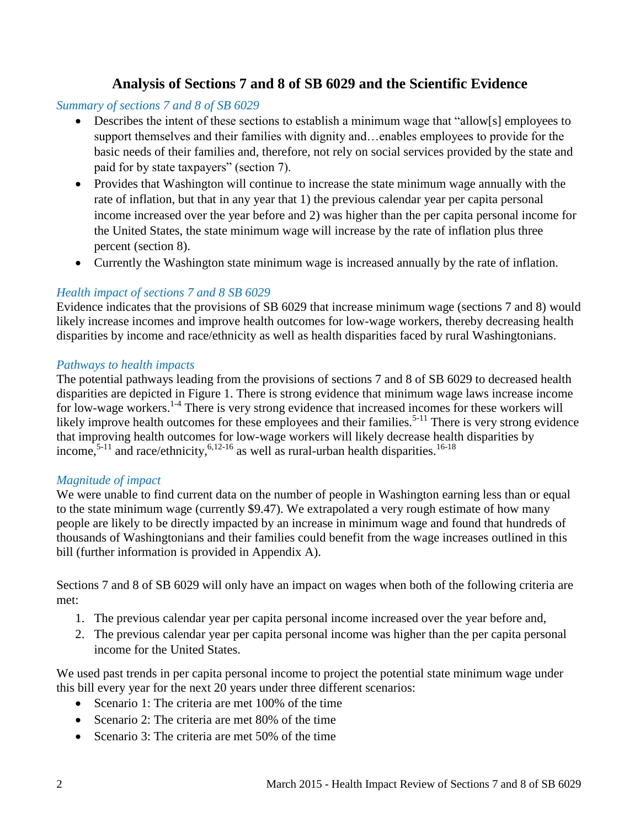# **Analysis of Sections 7 and 8 of SB 6029 and the Scientific Evidence**

### <span id="page-3-0"></span>*Summary of sections 7 and 8 of SB 6029*

- Describes the intent of these sections to establish a minimum wage that "allow[s] employees to support themselves and their families with dignity and…enables employees to provide for the basic needs of their families and, therefore, not rely on social services provided by the state and paid for by state taxpayers" (section 7).
- Provides that Washington will continue to increase the state minimum wage annually with the rate of inflation, but that in any year that 1) the previous calendar year per capita personal income increased over the year before and 2) was higher than the per capita personal income for the United States, the state minimum wage will increase by the rate of inflation plus three percent (section 8).
- Currently the Washington state minimum wage is increased annually by the rate of inflation.

# *Health impact of sections 7 and 8 SB 6029*

Evidence indicates that the provisions of SB 6029 that increase minimum wage (sections 7 and 8) would likely increase incomes and improve health outcomes for low-wage workers, thereby decreasing health disparities by income and race/ethnicity as well as health disparities faced by rural Washingtonians.

### *Pathways to health impacts*

The potential pathways leading from the provisions of sections 7 and 8 of SB 6029 to decreased health disparities are depicted in Figure 1. There is strong evidence that minimum wage laws increase income for low-wage workers.<sup>[1-4](#page-8-1)</sup> There is very strong evidence that increased incomes for these workers will likely improve health outcomes for these employees and their families.<sup>[5-11](#page-10-0)</sup> There is very strong evidence that improving health outcomes for low-wage workers will likely decrease health disparities by income,<sup>[5-11](#page-10-0)</sup> and race/ethnicity,  $6,12-16$  $6,12-16$  as well as rural-urban health disparities.<sup>[16-18](#page-13-0)</sup>

### *Magnitude of impact*

We were unable to find current data on the number of people in Washington earning less than or equal to the state minimum wage (currently \$9.47). We extrapolated a very rough estimate of how many people are likely to be directly impacted by an increase in minimum wage and found that hundreds of thousands of Washingtonians and their families could benefit from the wage increases outlined in this bill (further information is provided in Appendix A).

Sections 7 and 8 of SB 6029 will only have an impact on wages when both of the following criteria are met:

- 1. The previous calendar year per capita personal income increased over the year before and,
- 2. The previous calendar year per capita personal income was higher than the per capita personal income for the United States.

We used past trends in per capita personal income to project the potential state minimum wage under this bill every year for the next 20 years under three different scenarios:

- Scenario 1: The criteria are met 100% of the time
- Scenario 2: The criteria are met 80% of the time
- Scenario 3: The criteria are met 50% of the time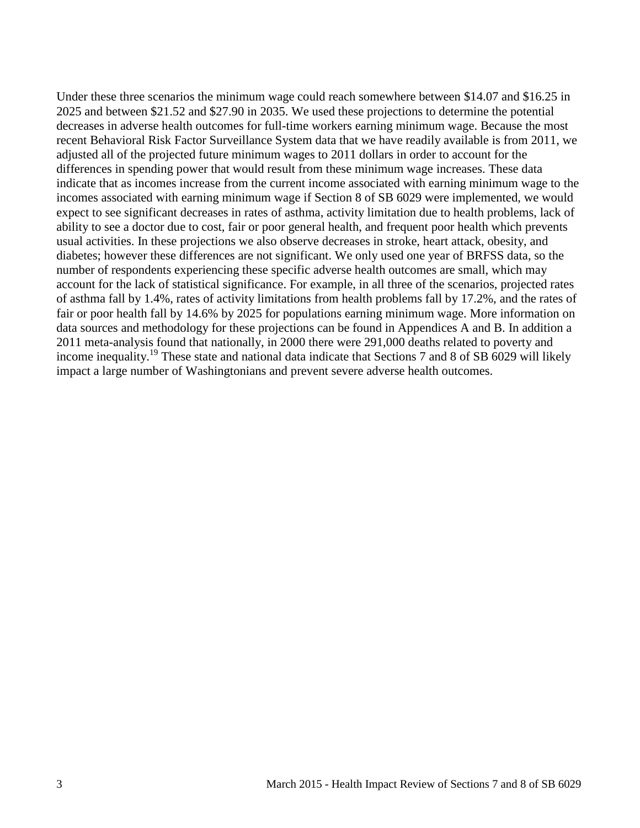Under these three scenarios the minimum wage could reach somewhere between \$14.07 and \$16.25 in 2025 and between \$21.52 and \$27.90 in 2035. We used these projections to determine the potential decreases in adverse health outcomes for full-time workers earning minimum wage. Because the most recent Behavioral Risk Factor Surveillance System data that we have readily available is from 2011, we adjusted all of the projected future minimum wages to 2011 dollars in order to account for the differences in spending power that would result from these minimum wage increases. These data indicate that as incomes increase from the current income associated with earning minimum wage to the incomes associated with earning minimum wage if Section 8 of SB 6029 were implemented, we would expect to see significant decreases in rates of asthma, activity limitation due to health problems, lack of ability to see a doctor due to cost, fair or poor general health, and frequent poor health which prevents usual activities. In these projections we also observe decreases in stroke, heart attack, obesity, and diabetes; however these differences are not significant. We only used one year of BRFSS data, so the number of respondents experiencing these specific adverse health outcomes are small, which may account for the lack of statistical significance. For example, in all three of the scenarios, projected rates of asthma fall by 1.4%, rates of activity limitations from health problems fall by 17.2%, and the rates of fair or poor health fall by 14.6% by 2025 for populations earning minimum wage. More information on data sources and methodology for these projections can be found in Appendices A and B. In addition a 2011 meta-analysis found that nationally, in 2000 there were 291,000 deaths related to poverty and income inequality.<sup>[19](#page-14-0)</sup> These state and national data indicate that Sections 7 and 8 of SB 6029 will likely impact a large number of Washingtonians and prevent severe adverse health outcomes.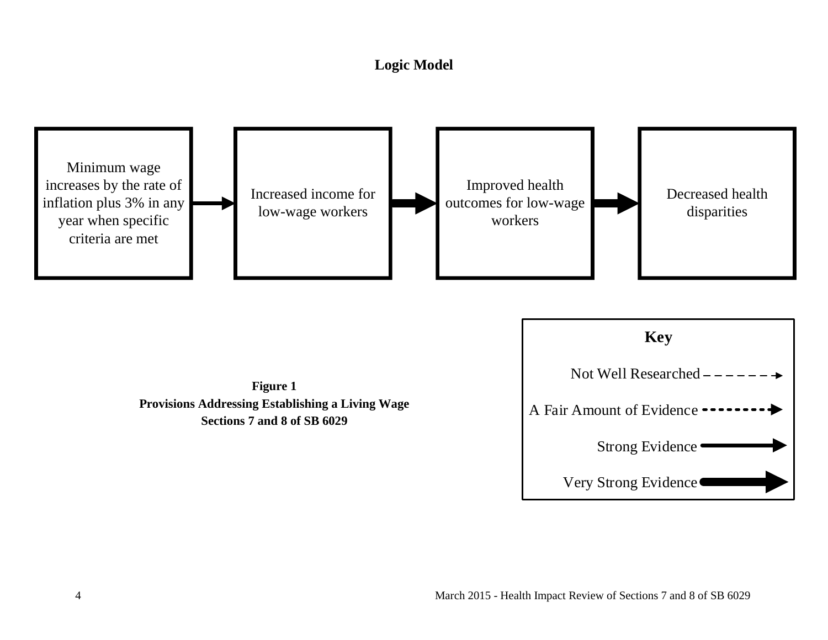# **Logic Model**

<span id="page-5-0"></span>

**Figure 1 Provisions Addressing Establishing a Living Wage Sections 7 and 8 of SB 6029**

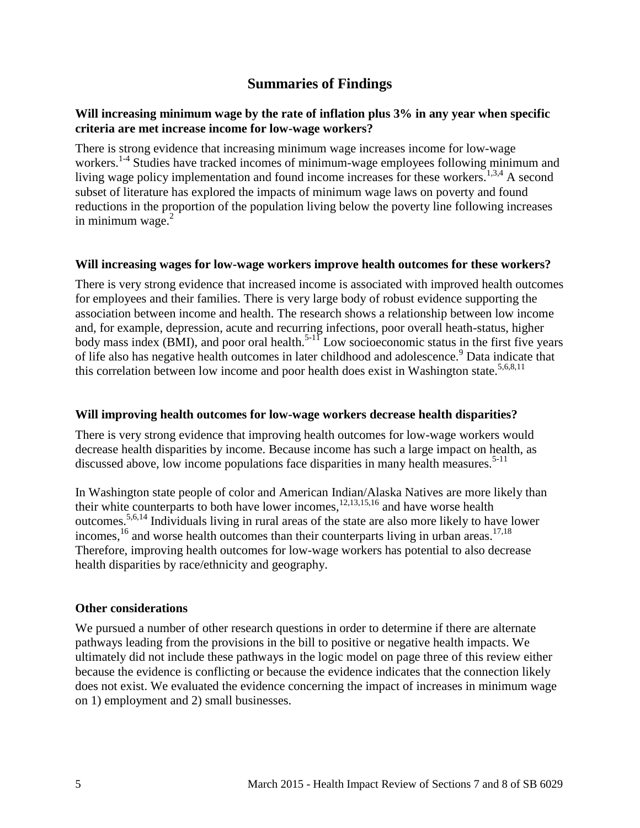# **Summaries of Findings**

#### <span id="page-6-0"></span>**Will increasing minimum wage by the rate of inflation plus 3% in any year when specific criteria are met increase income for low-wage workers?**

There is strong evidence that increasing minimum wage increases income for low-wage workers.<sup>[1-4](#page-8-1)</sup> Studies have tracked incomes of minimum-wage employees following minimum and living wage policy implementation and found income increases for these workers.<sup>[1,](#page-8-1)[3,](#page-9-0)[4](#page-9-1)</sup> A second subset of literature has explored the impacts of minimum wage laws on poverty and found reductions in the proportion of the population living below the poverty line following increases in minimum wage. $2$ 

#### **Will increasing wages for low-wage workers improve health outcomes for these workers?**

There is very strong evidence that increased income is associated with improved health outcomes for employees and their families. There is very large body of robust evidence supporting the association between income and health. The research shows a relationship between low income and, for example, depression, acute and recurring infections, poor overall heath-status, higher body mass index (BMI), and poor oral health.<sup>[5-11](#page-10-0)</sup> Low socioeconomic status in the first five years of life also has negative health outcomes in later childhood and adolescence.<sup>[9](#page-11-1)</sup> Data indicate that this correlation between low income and poor health does exist in Washington state.<sup>[5](#page-10-0)[,6](#page-10-1)[,8](#page-11-2)[,11](#page-11-3)</sup>

#### **Will improving health outcomes for low-wage workers decrease health disparities?**

There is very strong evidence that improving health outcomes for low-wage workers would decrease health disparities by income. Because income has such a large impact on health, as discussed above, low income populations face disparities in many health measures.<sup>[5-11](#page-10-0)</sup>

In Washington state people of color and American Indian/Alaska Natives are more likely than their white counterparts to both have lower incomes, [12,](#page-11-0)[13,](#page-12-0)[15,](#page-12-1)[16](#page-13-0) and have worse health outcomes. [5](#page-10-0)[,6](#page-10-1)[,14](#page-12-2) Individuals living in rural areas of the state are also more likely to have lower incomes,  $^{16}$  $^{16}$  $^{16}$  and worse health outcomes than their counterparts living in urban areas.  $^{17,18}$  $^{17,18}$  $^{17,18}$  $^{17,18}$ Therefore, improving health outcomes for low-wage workers has potential to also decrease health disparities by race/ethnicity and geography.

#### **Other considerations**

We pursued a number of other research questions in order to determine if there are alternate pathways leading from the provisions in the bill to positive or negative health impacts. We ultimately did not include these pathways in the logic model on page three of this review either because the evidence is conflicting or because the evidence indicates that the connection likely does not exist. We evaluated the evidence concerning the impact of increases in minimum wage on 1) employment and 2) small businesses.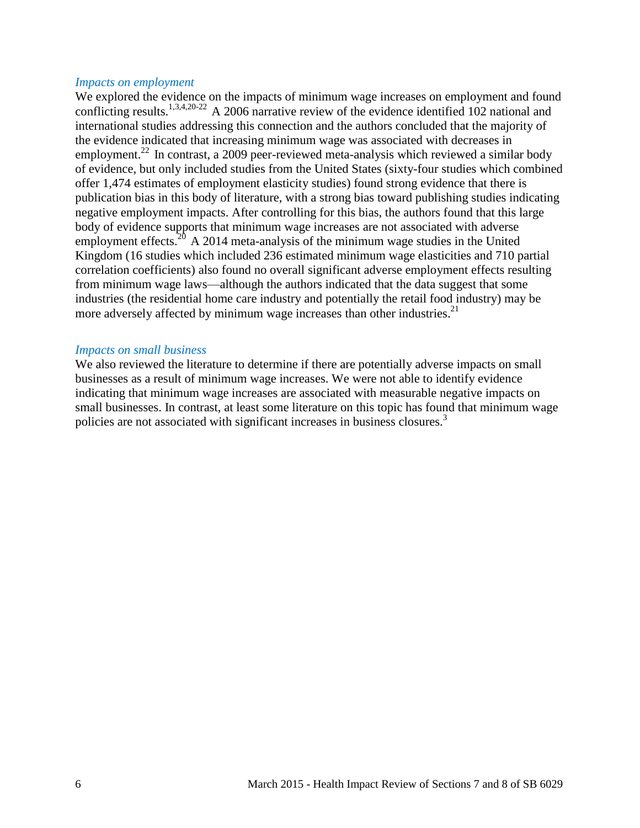#### *Impacts on employment*

We explored the evidence on the impacts of minimum wage increases on employment and found conflicting results.<sup>[1,](#page-8-1)[3,](#page-9-0)[4,](#page-9-1)[20-22](#page-14-1)</sup> A 2006 narrative review of the evidence identified 102 national and international studies addressing this connection and the authors concluded that the majority of the evidence indicated that increasing minimum wage was associated with decreases in employment.<sup>[22](#page-15-0)</sup> In contrast, a 2009 peer-reviewed meta-analysis which reviewed a similar body of evidence, but only included studies from the United States (sixty-four studies which combined offer 1,474 estimates of employment elasticity studies) found strong evidence that there is publication bias in this body of literature, with a strong bias toward publishing studies indicating negative employment impacts. After controlling for this bias, the authors found that this large body of evidence supports that minimum wage increases are not associated with adverse employment effects.<sup>[20](#page-14-1)</sup> A 2014 meta-analysis of the minimum wage studies in the United Kingdom (16 studies which included 236 estimated minimum wage elasticities and 710 partial correlation coefficients) also found no overall significant adverse employment effects resulting from minimum wage laws—although the authors indicated that the data suggest that some industries (the residential home care industry and potentially the retail food industry) may be more adversely affected by minimum wage increases than other industries.<sup>[21](#page-14-2)</sup>

#### *Impacts on small business*

We also reviewed the literature to determine if there are potentially adverse impacts on small businesses as a result of minimum wage increases. We were not able to identify evidence indicating that minimum wage increases are associated with measurable negative impacts on small businesses. In contrast, at least some literature on this topic has found that minimum wage policies are not associated with significant increases in business closures.<sup>[3](#page-9-0)</sup>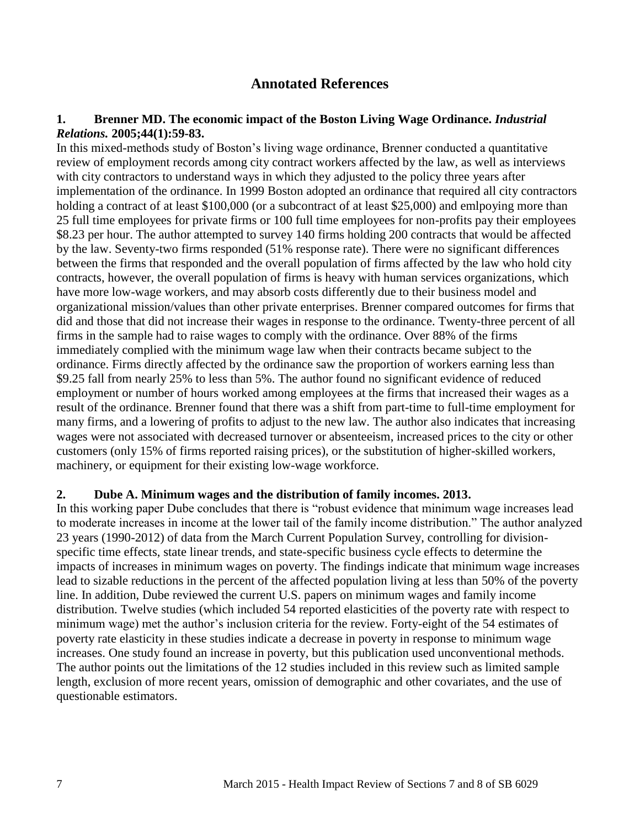# **Annotated References**

#### <span id="page-8-1"></span><span id="page-8-0"></span>**1. Brenner MD. The economic impact of the Boston Living Wage Ordinance.** *Industrial Relations.* **2005;44(1):59-83.**

In this mixed-methods study of Boston's living wage ordinance, Brenner conducted a quantitative review of employment records among city contract workers affected by the law, as well as interviews with city contractors to understand ways in which they adjusted to the policy three years after implementation of the ordinance. In 1999 Boston adopted an ordinance that required all city contractors holding a contract of at least \$100,000 (or a subcontract of at least \$25,000) and emlpoying more than 25 full time employees for private firms or 100 full time employees for non-profits pay their employees \$8.23 per hour. The author attempted to survey 140 firms holding 200 contracts that would be affected by the law. Seventy-two firms responded (51% response rate). There were no significant differences between the firms that responded and the overall population of firms affected by the law who hold city contracts, however, the overall population of firms is heavy with human services organizations, which have more low-wage workers, and may absorb costs differently due to their business model and organizational mission/values than other private enterprises. Brenner compared outcomes for firms that did and those that did not increase their wages in response to the ordinance. Twenty-three percent of all firms in the sample had to raise wages to comply with the ordinance. Over 88% of the firms immediately complied with the minimum wage law when their contracts became subject to the ordinance. Firms directly affected by the ordinance saw the proportion of workers earning less than \$9.25 fall from nearly 25% to less than 5%. The author found no significant evidence of reduced employment or number of hours worked among employees at the firms that increased their wages as a result of the ordinance. Brenner found that there was a shift from part-time to full-time employment for many firms, and a lowering of profits to adjust to the new law. The author also indicates that increasing wages were not associated with decreased turnover or absenteeism, increased prices to the city or other customers (only 15% of firms reported raising prices), or the substitution of higher-skilled workers, machinery, or equipment for their existing low-wage workforce.

#### <span id="page-8-2"></span>**2. Dube A. Minimum wages and the distribution of family incomes. 2013.**

In this working paper Dube concludes that there is "robust evidence that minimum wage increases lead to moderate increases in income at the lower tail of the family income distribution." The author analyzed 23 years (1990-2012) of data from the March Current Population Survey, controlling for divisionspecific time effects, state linear trends, and state-specific business cycle effects to determine the impacts of increases in minimum wages on poverty. The findings indicate that minimum wage increases lead to sizable reductions in the percent of the affected population living at less than 50% of the poverty line. In addition, Dube reviewed the current U.S. papers on minimum wages and family income distribution. Twelve studies (which included 54 reported elasticities of the poverty rate with respect to minimum wage) met the author's inclusion criteria for the review. Forty-eight of the 54 estimates of poverty rate elasticity in these studies indicate a decrease in poverty in response to minimum wage increases. One study found an increase in poverty, but this publication used unconventional methods. The author points out the limitations of the 12 studies included in this review such as limited sample length, exclusion of more recent years, omission of demographic and other covariates, and the use of questionable estimators.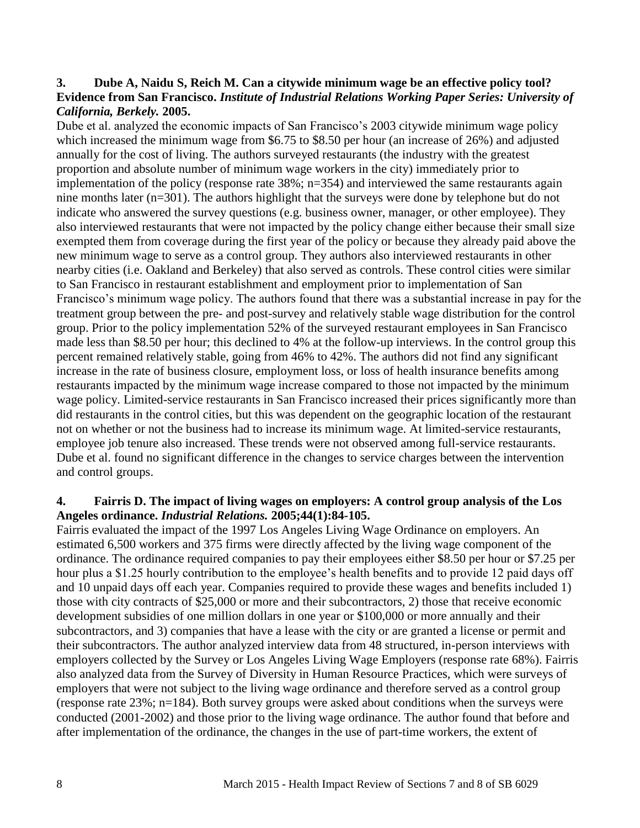#### <span id="page-9-0"></span>**3. Dube A, Naidu S, Reich M. Can a citywide minimum wage be an effective policy tool? Evidence from San Francisco.** *Institute of Industrial Relations Working Paper Series: University of California, Berkely.* **2005.**

Dube et al. analyzed the economic impacts of San Francisco's 2003 citywide minimum wage policy which increased the minimum wage from \$6.75 to \$8.50 per hour (an increase of 26%) and adjusted annually for the cost of living. The authors surveyed restaurants (the industry with the greatest proportion and absolute number of minimum wage workers in the city) immediately prior to implementation of the policy (response rate 38%; n=354) and interviewed the same restaurants again nine months later (n=301). The authors highlight that the surveys were done by telephone but do not indicate who answered the survey questions (e.g. business owner, manager, or other employee). They also interviewed restaurants that were not impacted by the policy change either because their small size exempted them from coverage during the first year of the policy or because they already paid above the new minimum wage to serve as a control group. They authors also interviewed restaurants in other nearby cities (i.e. Oakland and Berkeley) that also served as controls. These control cities were similar to San Francisco in restaurant establishment and employment prior to implementation of San Francisco's minimum wage policy. The authors found that there was a substantial increase in pay for the treatment group between the pre- and post-survey and relatively stable wage distribution for the control group. Prior to the policy implementation 52% of the surveyed restaurant employees in San Francisco made less than \$8.50 per hour; this declined to 4% at the follow-up interviews. In the control group this percent remained relatively stable, going from 46% to 42%. The authors did not find any significant increase in the rate of business closure, employment loss, or loss of health insurance benefits among restaurants impacted by the minimum wage increase compared to those not impacted by the minimum wage policy. Limited-service restaurants in San Francisco increased their prices significantly more than did restaurants in the control cities, but this was dependent on the geographic location of the restaurant not on whether or not the business had to increase its minimum wage. At limited-service restaurants, employee job tenure also increased. These trends were not observed among full-service restaurants. Dube et al. found no significant difference in the changes to service charges between the intervention and control groups.

#### <span id="page-9-1"></span>**4. Fairris D. The impact of living wages on employers: A control group analysis of the Los Angeles ordinance.** *Industrial Relations.* **2005;44(1):84-105.**

Fairris evaluated the impact of the 1997 Los Angeles Living Wage Ordinance on employers. An estimated 6,500 workers and 375 firms were directly affected by the living wage component of the ordinance. The ordinance required companies to pay their employees either \$8.50 per hour or \$7.25 per hour plus a \$1.25 hourly contribution to the employee's health benefits and to provide 12 paid days off and 10 unpaid days off each year. Companies required to provide these wages and benefits included 1) those with city contracts of \$25,000 or more and their subcontractors, 2) those that receive economic development subsidies of one million dollars in one year or \$100,000 or more annually and their subcontractors, and 3) companies that have a lease with the city or are granted a license or permit and their subcontractors. The author analyzed interview data from 48 structured, in-person interviews with employers collected by the Survey or Los Angeles Living Wage Employers (response rate 68%). Fairris also analyzed data from the Survey of Diversity in Human Resource Practices, which were surveys of employers that were not subject to the living wage ordinance and therefore served as a control group (response rate 23%; n=184). Both survey groups were asked about conditions when the surveys were conducted (2001-2002) and those prior to the living wage ordinance. The author found that before and after implementation of the ordinance, the changes in the use of part-time workers, the extent of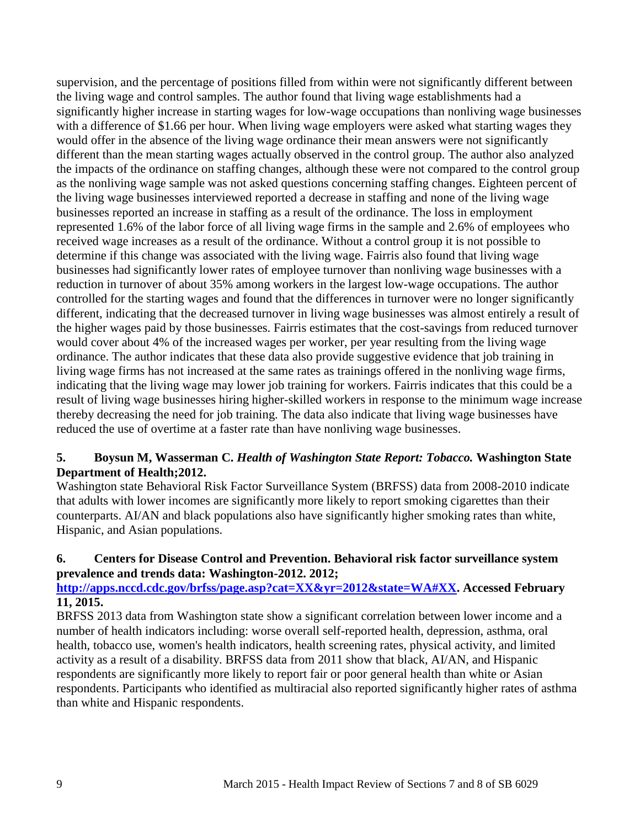supervision, and the percentage of positions filled from within were not significantly different between the living wage and control samples. The author found that living wage establishments had a significantly higher increase in starting wages for low-wage occupations than nonliving wage businesses with a difference of \$1.66 per hour. When living wage employers were asked what starting wages they would offer in the absence of the living wage ordinance their mean answers were not significantly different than the mean starting wages actually observed in the control group. The author also analyzed the impacts of the ordinance on staffing changes, although these were not compared to the control group as the nonliving wage sample was not asked questions concerning staffing changes. Eighteen percent of the living wage businesses interviewed reported a decrease in staffing and none of the living wage businesses reported an increase in staffing as a result of the ordinance. The loss in employment represented 1.6% of the labor force of all living wage firms in the sample and 2.6% of employees who received wage increases as a result of the ordinance. Without a control group it is not possible to determine if this change was associated with the living wage. Fairris also found that living wage businesses had significantly lower rates of employee turnover than nonliving wage businesses with a reduction in turnover of about 35% among workers in the largest low-wage occupations. The author controlled for the starting wages and found that the differences in turnover were no longer significantly different, indicating that the decreased turnover in living wage businesses was almost entirely a result of the higher wages paid by those businesses. Fairris estimates that the cost-savings from reduced turnover would cover about 4% of the increased wages per worker, per year resulting from the living wage ordinance. The author indicates that these data also provide suggestive evidence that job training in living wage firms has not increased at the same rates as trainings offered in the nonliving wage firms, indicating that the living wage may lower job training for workers. Fairris indicates that this could be a result of living wage businesses hiring higher-skilled workers in response to the minimum wage increase thereby decreasing the need for job training. The data also indicate that living wage businesses have reduced the use of overtime at a faster rate than have nonliving wage businesses.

### <span id="page-10-0"></span>**5. Boysun M, Wasserman C.** *Health of Washington State Report: Tobacco.* **Washington State Department of Health;2012.**

Washington state Behavioral Risk Factor Surveillance System (BRFSS) data from 2008-2010 indicate that adults with lower incomes are significantly more likely to report smoking cigarettes than their counterparts. AI/AN and black populations also have significantly higher smoking rates than white, Hispanic, and Asian populations.

### <span id="page-10-1"></span>**6. Centers for Disease Control and Prevention. Behavioral risk factor surveillance system prevalence and trends data: Washington-2012. 2012;**

### **[http://apps.nccd.cdc.gov/brfss/page.asp?cat=XX&yr=2012&state=WA#XX.](http://apps.nccd.cdc.gov/brfss/page.asp?cat=XX&yr=2012&state=WA#XX) Accessed February 11, 2015.**

BRFSS 2013 data from Washington state show a significant correlation between lower income and a number of health indicators including: worse overall self-reported health, depression, asthma, oral health, tobacco use, women's health indicators, health screening rates, physical activity, and limited activity as a result of a disability. BRFSS data from 2011 show that black, AI/AN, and Hispanic respondents are significantly more likely to report fair or poor general health than white or Asian respondents. Participants who identified as multiracial also reported significantly higher rates of asthma than white and Hispanic respondents.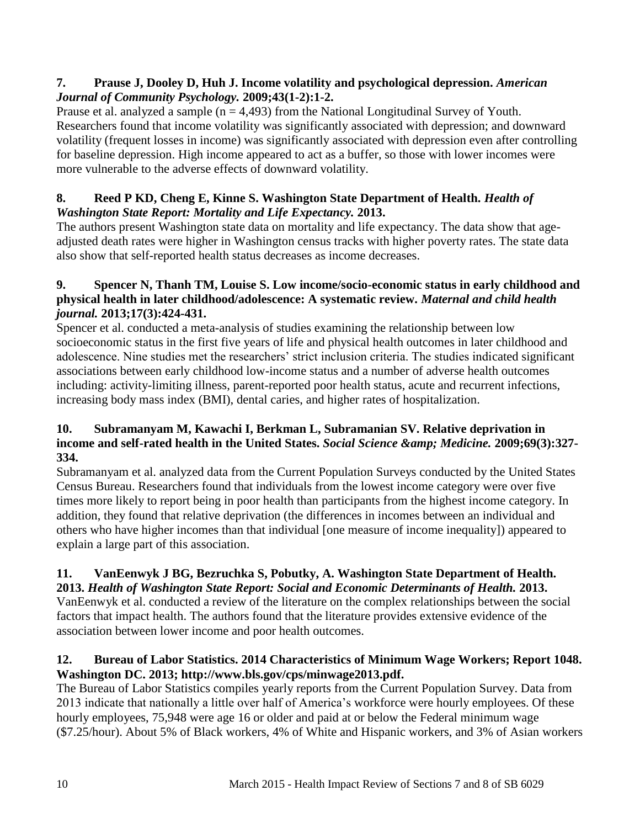# **7. Prause J, Dooley D, Huh J. Income volatility and psychological depression.** *American Journal of Community Psychology.* **2009;43(1-2):1-2.**

Prause et al. analyzed a sample  $(n = 4,493)$  from the National Longitudinal Survey of Youth. Researchers found that income volatility was significantly associated with depression; and downward volatility (frequent losses in income) was significantly associated with depression even after controlling for baseline depression. High income appeared to act as a buffer, so those with lower incomes were more vulnerable to the adverse effects of downward volatility.

# <span id="page-11-2"></span>**8. Reed P KD, Cheng E, Kinne S. Washington State Department of Health.** *Health of Washington State Report: Mortality and Life Expectancy.* **2013.**

The authors present Washington state data on mortality and life expectancy. The data show that ageadjusted death rates were higher in Washington census tracks with higher poverty rates. The state data also show that self-reported health status decreases as income decreases.

# <span id="page-11-1"></span>**9. Spencer N, Thanh TM, Louise S. Low income/socio-economic status in early childhood and physical health in later childhood/adolescence: A systematic review.** *Maternal and child health journal.* **2013;17(3):424-431.**

Spencer et al. conducted a meta-analysis of studies examining the relationship between low socioeconomic status in the first five years of life and physical health outcomes in later childhood and adolescence. Nine studies met the researchers' strict inclusion criteria. The studies indicated significant associations between early childhood low-income status and a number of adverse health outcomes including: activity-limiting illness, parent-reported poor health status, acute and recurrent infections, increasing body mass index (BMI), dental caries, and higher rates of hospitalization.

# **10. Subramanyam M, Kawachi I, Berkman L, Subramanian SV. Relative deprivation in**  income and self-rated health in the United States. *Social Science & amp*; *Medicine.* 2009;69(3):327-**334.**

Subramanyam et al. analyzed data from the Current Population Surveys conducted by the United States Census Bureau. Researchers found that individuals from the lowest income category were over five times more likely to report being in poor health than participants from the highest income category. In addition, they found that relative deprivation (the differences in incomes between an individual and others who have higher incomes than that individual [one measure of income inequality]) appeared to explain a large part of this association.

### <span id="page-11-3"></span>**11. VanEenwyk J BG, Bezruchka S, Pobutky, A. Washington State Department of Health. 2013.** *Health of Washington State Report: Social and Economic Determinants of Health.* **2013.**

VanEenwyk et al. conducted a review of the literature on the complex relationships between the social factors that impact health. The authors found that the literature provides extensive evidence of the association between lower income and poor health outcomes.

# <span id="page-11-0"></span>**12. Bureau of Labor Statistics. 2014 Characteristics of Minimum Wage Workers; Report 1048. Washington DC. 2013; http://www.bls.gov/cps/minwage2013.pdf.**

The Bureau of Labor Statistics compiles yearly reports from the Current Population Survey. Data from 2013 indicate that nationally a little over half of America's workforce were hourly employees. Of these hourly employees, 75,948 were age 16 or older and paid at or below the Federal minimum wage (\$7.25/hour). About 5% of Black workers, 4% of White and Hispanic workers, and 3% of Asian workers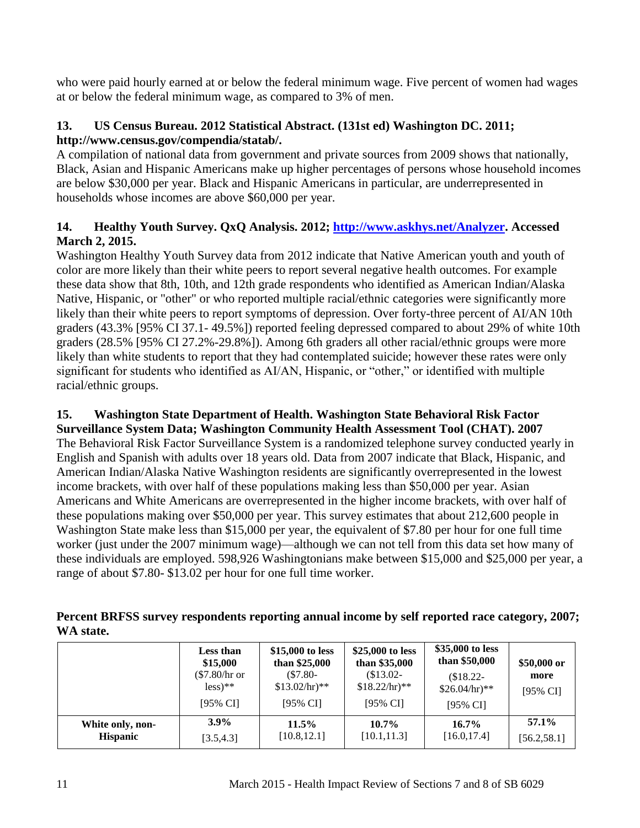who were paid hourly earned at or below the federal minimum wage. Five percent of women had wages at or below the federal minimum wage, as compared to 3% of men.

# <span id="page-12-0"></span>**13. US Census Bureau. 2012 Statistical Abstract. (131st ed) Washington DC. 2011; http://www.census.gov/compendia/statab/.**

A compilation of national data from government and private sources from 2009 shows that nationally, Black, Asian and Hispanic Americans make up higher percentages of persons whose household incomes are below \$30,000 per year. Black and Hispanic Americans in particular, are underrepresented in households whose incomes are above \$60,000 per year.

# <span id="page-12-2"></span>**14. Healthy Youth Survey. QxQ Analysis. 2012; [http://www.askhys.net/Analyzer.](http://www.askhys.net/Analyzer) Accessed March 2, 2015.**

Washington Healthy Youth Survey data from 2012 indicate that Native American youth and youth of color are more likely than their white peers to report several negative health outcomes. For example these data show that 8th, 10th, and 12th grade respondents who identified as American Indian/Alaska Native, Hispanic, or "other" or who reported multiple racial/ethnic categories were significantly more likely than their white peers to report symptoms of depression. Over forty-three percent of AI/AN 10th graders (43.3% [95% CI 37.1- 49.5%]) reported feeling depressed compared to about 29% of white 10th graders (28.5% [95% CI 27.2%-29.8%]). Among 6th graders all other racial/ethnic groups were more likely than white students to report that they had contemplated suicide; however these rates were only significant for students who identified as AI/AN, Hispanic, or "other," or identified with multiple racial/ethnic groups.

# <span id="page-12-1"></span>**15. Washington State Department of Health. Washington State Behavioral Risk Factor**

**Surveillance System Data; Washington Community Health Assessment Tool (CHAT). 2007** The Behavioral Risk Factor Surveillance System is a randomized telephone survey conducted yearly in English and Spanish with adults over 18 years old. Data from 2007 indicate that Black, Hispanic, and American Indian/Alaska Native Washington residents are significantly overrepresented in the lowest income brackets, with over half of these populations making less than \$50,000 per year. Asian Americans and White Americans are overrepresented in the higher income brackets, with over half of these populations making over \$50,000 per year. This survey estimates that about 212,600 people in Washington State make less than \$15,000 per year, the equivalent of \$7.80 per hour for one full time worker (just under the 2007 minimum wage)—although we can not tell from this data set how many of these individuals are employed. 598,926 Washingtonians make between \$15,000 and \$25,000 per year, a range of about \$7.80- \$13.02 per hour for one full time worker.

| Percent BRFSS survey respondents reporting annual income by self reported race category, 2007; |  |
|------------------------------------------------------------------------------------------------|--|
| WA state.                                                                                      |  |

|                  | <b>Less than</b><br>\$15,000<br>(\$7.80/hr or<br>$less)$ **<br>$[95\% \text{ CI}]$ | \$15,000 to less<br>than \$25,000<br>$(S7.80 -$<br>$$13.02/hr$ <sup>**</sup><br>$[95\% \text{ CI}]$ | \$25,000 to less<br>than \$35,000<br>$$13.02-$<br>$$18.22/hr$ <sup>**</sup><br>[95% CI] | \$35,000 to less<br>than \$50,000<br>\$18.22<br>$$26.04/hr$ <sup>**</sup><br>$[95\% \text{ CI}]$ | \$50,000 or<br>more<br>[95% CI] |
|------------------|------------------------------------------------------------------------------------|-----------------------------------------------------------------------------------------------------|-----------------------------------------------------------------------------------------|--------------------------------------------------------------------------------------------------|---------------------------------|
| White only, non- | $3.9\%$                                                                            | 11.5%                                                                                               | $10.7\%$                                                                                | $16.7\%$                                                                                         | 57.1%                           |
| <b>Hispanic</b>  | [3.5, 4.3]                                                                         | [10.8, 12.1]                                                                                        | [10.1, 11.3]                                                                            | [16.0, 17.4]                                                                                     | [56.2, 58.1]                    |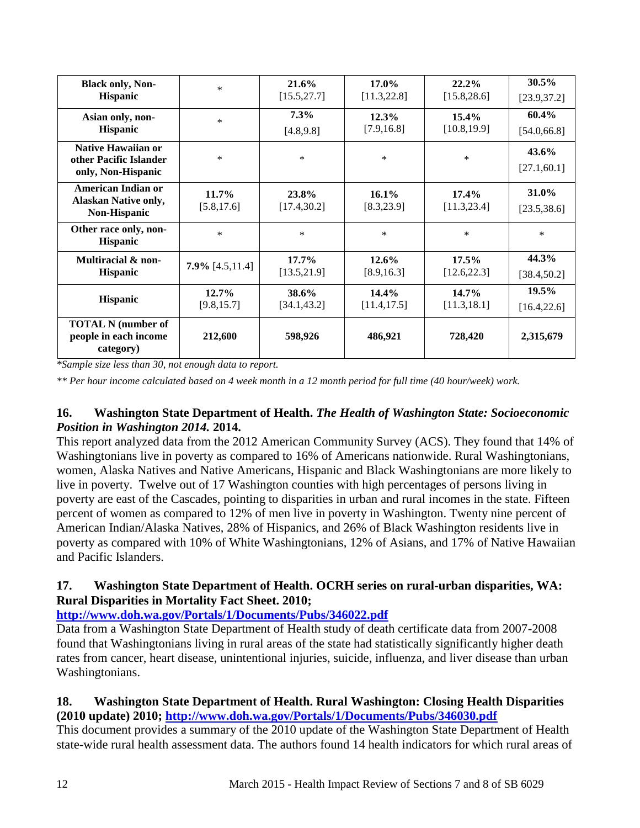| <b>Black only, Non-</b>                                                   | $\ast$                  | 21.6%                 | $17.0\%$                | $22.2\%$              | $30.5\%$                 |
|---------------------------------------------------------------------------|-------------------------|-----------------------|-------------------------|-----------------------|--------------------------|
| <b>Hispanic</b>                                                           |                         | [15.5, 27.7]          | [11.3, 22.8]            | [15.8, 28.6]          | [23.9, 37.2]             |
| Asian only, non-                                                          | $\ast$                  | 7.3%                  | 12.3%                   | $15.4\%$              | $60.4\%$                 |
| <b>Hispanic</b>                                                           |                         | [4.8, 9.8]            | [7.9, 16.8]             | [10.8, 19.9]          | [54.0, 66.8]             |
| <b>Native Hawaiian or</b><br>other Pacific Islander<br>only, Non-Hispanic | $\ast$                  | $\ast$                | $\ast$                  | $\ast$                | $43.6\%$<br>[27.1, 60.1] |
| American Indian or<br><b>Alaskan Native only,</b><br><b>Non-Hispanic</b>  | $11.7\%$<br>[5.8, 17.6] | 23.8%<br>[17.4, 30.2] | $16.1\%$<br>[8.3, 23.9] | 17.4%<br>[11.3, 23.4] | 31.0%<br>[23.5, 38.6]    |
| Other race only, non-<br>Hispanic                                         | *                       | $\ast$                | $\ast$                  | $\ast$                | $\ast$                   |
| Multiracial & non-                                                        | $7.9\%$ [4.5,11.4]      | $17.7\%$              | 12.6%                   | $17.5\%$              | 44.3%                    |
| Hispanic                                                                  |                         | [13.5, 21.9]          | [8.9, 16.3]             | [12.6, 22.3]          | [38.4, 50.2]             |
| <b>Hispanic</b>                                                           | $12.7\%$                | 38.6%                 | 14.4%                   | $14.7\%$              | $19.5\%$                 |
|                                                                           | [9.8, 15.7]             | [34.1, 43.2]          | [11.4, 17.5]            | [11.3, 18.1]          | [16.4, 22.6]             |
| <b>TOTAL N</b> (number of<br>people in each income<br>category)           | 212,600                 | 598,926               | 486,921                 | 728,420               | 2,315,679                |

*\*Sample size less than 30, not enough data to report.*

*\*\* Per hour income calculated based on 4 week month in a 12 month period for full time (40 hour/week) work.*

### <span id="page-13-0"></span>**16. Washington State Department of Health.** *The Health of Washington State: Socioeconomic Position in Washington 2014.* **2014.**

This report analyzed data from the 2012 American Community Survey (ACS). They found that 14% of Washingtonians live in poverty as compared to 16% of Americans nationwide. Rural Washingtonians, women, Alaska Natives and Native Americans, Hispanic and Black Washingtonians are more likely to live in poverty. Twelve out of 17 Washington counties with high percentages of persons living in poverty are east of the Cascades, pointing to disparities in urban and rural incomes in the state. Fifteen percent of women as compared to 12% of men live in poverty in Washington. Twenty nine percent of American Indian/Alaska Natives, 28% of Hispanics, and 26% of Black Washington residents live in poverty as compared with 10% of White Washingtonians, 12% of Asians, and 17% of Native Hawaiian and Pacific Islanders.

# <span id="page-13-1"></span>**17. Washington State Department of Health. OCRH series on rural-urban disparities, WA: Rural Disparities in Mortality Fact Sheet. 2010;**

### **<http://www.doh.wa.gov/Portals/1/Documents/Pubs/346022.pdf>**

Data from a Washington State Department of Health study of death certificate data from 2007-2008 found that Washingtonians living in rural areas of the state had statistically significantly higher death rates from cancer, heart disease, unintentional injuries, suicide, influenza, and liver disease than urban Washingtonians.

# <span id="page-13-2"></span>**18. Washington State Department of Health. Rural Washington: Closing Health Disparities (2010 update) 2010;<http://www.doh.wa.gov/Portals/1/Documents/Pubs/346030.pdf>**

This document provides a summary of the 2010 update of the Washington State Department of Health state-wide rural health assessment data. The authors found 14 health indicators for which rural areas of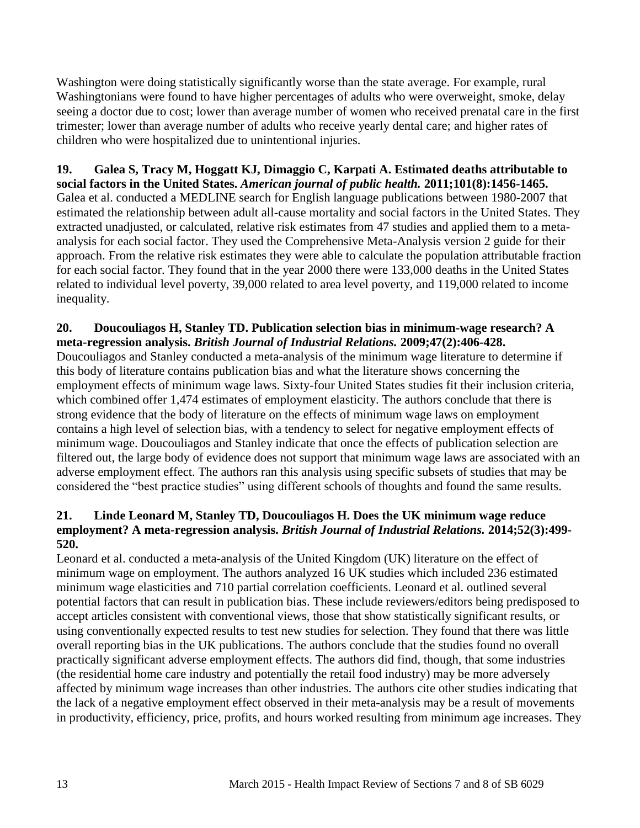Washington were doing statistically significantly worse than the state average. For example, rural Washingtonians were found to have higher percentages of adults who were overweight, smoke, delay seeing a doctor due to cost; lower than average number of women who received prenatal care in the first trimester; lower than average number of adults who receive yearly dental care; and higher rates of children who were hospitalized due to unintentional injuries.

<span id="page-14-0"></span>**19. Galea S, Tracy M, Hoggatt KJ, Dimaggio C, Karpati A. Estimated deaths attributable to social factors in the United States.** *American journal of public health.* **2011;101(8):1456-1465.** Galea et al. conducted a MEDLINE search for English language publications between 1980-2007 that estimated the relationship between adult all-cause mortality and social factors in the United States. They extracted unadjusted, or calculated, relative risk estimates from 47 studies and applied them to a metaanalysis for each social factor. They used the Comprehensive Meta-Analysis version 2 guide for their approach. From the relative risk estimates they were able to calculate the population attributable fraction for each social factor. They found that in the year 2000 there were 133,000 deaths in the United States related to individual level poverty, 39,000 related to area level poverty, and 119,000 related to income inequality.

#### <span id="page-14-1"></span>**20. Doucouliagos H, Stanley TD. Publication selection bias in minimum-wage research? A meta-regression analysis.** *British Journal of Industrial Relations.* **2009;47(2):406-428.**

Doucouliagos and Stanley conducted a meta-analysis of the minimum wage literature to determine if this body of literature contains publication bias and what the literature shows concerning the employment effects of minimum wage laws. Sixty-four United States studies fit their inclusion criteria, which combined offer 1,474 estimates of employment elasticity. The authors conclude that there is strong evidence that the body of literature on the effects of minimum wage laws on employment contains a high level of selection bias, with a tendency to select for negative employment effects of minimum wage. Doucouliagos and Stanley indicate that once the effects of publication selection are filtered out, the large body of evidence does not support that minimum wage laws are associated with an adverse employment effect. The authors ran this analysis using specific subsets of studies that may be considered the "best practice studies" using different schools of thoughts and found the same results.

### <span id="page-14-2"></span>**21. Linde Leonard M, Stanley TD, Doucouliagos H. Does the UK minimum wage reduce employment? A meta-regression analysis.** *British Journal of Industrial Relations.* **2014;52(3):499- 520.**

Leonard et al. conducted a meta-analysis of the United Kingdom (UK) literature on the effect of minimum wage on employment. The authors analyzed 16 UK studies which included 236 estimated minimum wage elasticities and 710 partial correlation coefficients. Leonard et al. outlined several potential factors that can result in publication bias. These include reviewers/editors being predisposed to accept articles consistent with conventional views, those that show statistically significant results, or using conventionally expected results to test new studies for selection. They found that there was little overall reporting bias in the UK publications. The authors conclude that the studies found no overall practically significant adverse employment effects. The authors did find, though, that some industries (the residential home care industry and potentially the retail food industry) may be more adversely affected by minimum wage increases than other industries. The authors cite other studies indicating that the lack of a negative employment effect observed in their meta-analysis may be a result of movements in productivity, efficiency, price, profits, and hours worked resulting from minimum age increases. They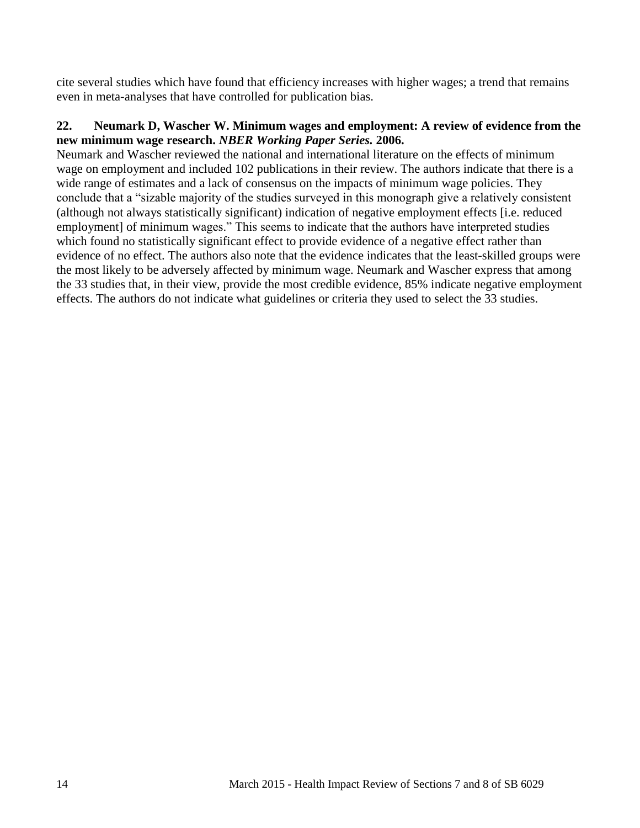cite several studies which have found that efficiency increases with higher wages; a trend that remains even in meta-analyses that have controlled for publication bias.

#### <span id="page-15-0"></span>**22. Neumark D, Wascher W. Minimum wages and employment: A review of evidence from the new minimum wage research.** *NBER Working Paper Series.* **2006.**

Neumark and Wascher reviewed the national and international literature on the effects of minimum wage on employment and included 102 publications in their review. The authors indicate that there is a wide range of estimates and a lack of consensus on the impacts of minimum wage policies. They conclude that a "sizable majority of the studies surveyed in this monograph give a relatively consistent (although not always statistically significant) indication of negative employment effects [i.e. reduced employment] of minimum wages." This seems to indicate that the authors have interpreted studies which found no statistically significant effect to provide evidence of a negative effect rather than evidence of no effect. The authors also note that the evidence indicates that the least-skilled groups were the most likely to be adversely affected by minimum wage. Neumark and Wascher express that among the 33 studies that, in their view, provide the most credible evidence, 85% indicate negative employment effects. The authors do not indicate what guidelines or criteria they used to select the 33 studies.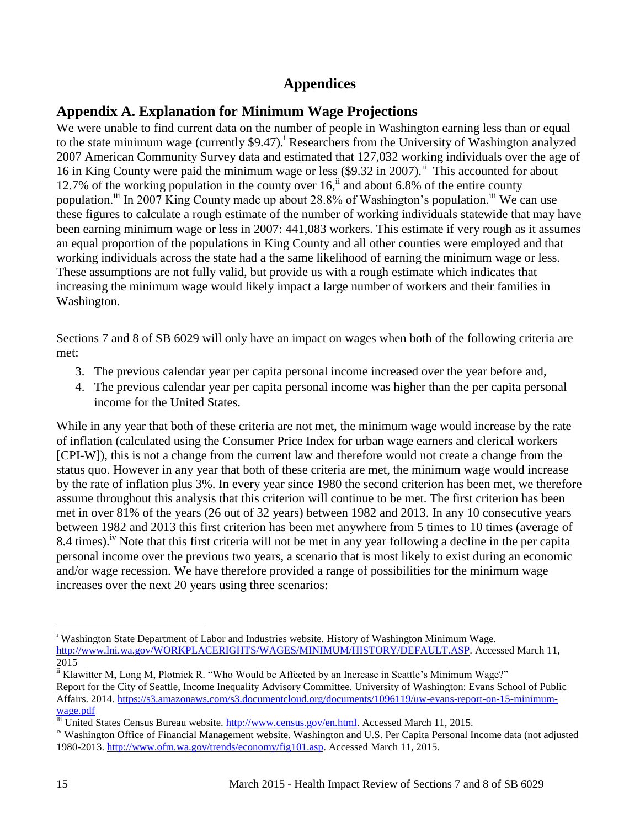# **Appendices**

# <span id="page-16-1"></span><span id="page-16-0"></span>**Appendix A. Explanation for Minimum Wage Projections**

We were unable to find current data on the number of people in Washington earning less than or equal to the state minimum wage (currently  $$9.47$ ).<sup>i</sup> Researchers from the University of Washington analyzed 2007 American Community Survey data and estimated that 127,032 working individuals over the age of 16 in King County were paid the minimum wage or less  $(\$9.32$  in 2007).<sup>ii</sup> This accounted for about 12.7% of the working population in the county over  $16<sup>ii</sup>$  and about 6.8% of the entire county population.<sup>iii</sup> In 2007 King County made up about 28.8% of Washington's population.<sup>iii</sup> We can use these figures to calculate a rough estimate of the number of working individuals statewide that may have been earning minimum wage or less in 2007: 441,083 workers. This estimate if very rough as it assumes an equal proportion of the populations in King County and all other counties were employed and that working individuals across the state had a the same likelihood of earning the minimum wage or less. These assumptions are not fully valid, but provide us with a rough estimate which indicates that increasing the minimum wage would likely impact a large number of workers and their families in Washington.

Sections 7 and 8 of SB 6029 will only have an impact on wages when both of the following criteria are met:

- 3. The previous calendar year per capita personal income increased over the year before and,
- 4. The previous calendar year per capita personal income was higher than the per capita personal income for the United States.

While in any year that both of these criteria are not met, the minimum wage would increase by the rate of inflation (calculated using the Consumer Price Index for urban wage earners and clerical workers [CPI-W]), this is not a change from the current law and therefore would not create a change from the status quo. However in any year that both of these criteria are met, the minimum wage would increase by the rate of inflation plus 3%. In every year since 1980 the second criterion has been met, we therefore assume throughout this analysis that this criterion will continue to be met. The first criterion has been met in over 81% of the years (26 out of 32 years) between 1982 and 2013. In any 10 consecutive years between 1982 and 2013 this first criterion has been met anywhere from 5 times to 10 times (average of 8.4 times).<sup>1V</sup> Note that this first criteria will not be met in any year following a decline in the per capita personal income over the previous two years, a scenario that is most likely to exist during an economic and/or wage recession. We have therefore provided a range of possibilities for the minimum wage increases over the next 20 years using three scenarios:

l

<sup>&</sup>lt;sup>i</sup> Washington State Department of Labor and Industries website. History of Washington Minimum Wage. [http://www.lni.wa.gov/WORKPLACERIGHTS/WAGES/MINIMUM/HISTORY/DEFAULT.ASP.](http://www.lni.wa.gov/WORKPLACERIGHTS/WAGES/MINIMUM/HISTORY/DEFAULT.ASP) Accessed March 11,  $\overline{2015}$ 

<sup>&</sup>lt;sup>ii</sup> Klawitter M, Long M, Plotnick R. "Who Would be Affected by an Increase in Seattle's Minimum Wage?" Report for the City of Seattle, Income Inequality Advisory Committee. University of Washington: Evans School of Public Affairs. 2014. [https://s3.amazonaws.com/s3.documentcloud.org/documents/1096119/uw-evans-report-on-15-minimum](https://s3.amazonaws.com/s3.documentcloud.org/documents/1096119/uw-evans-report-on-15-minimum-wage.pdf)[wage.pdf](https://s3.amazonaws.com/s3.documentcloud.org/documents/1096119/uw-evans-report-on-15-minimum-wage.pdf)

iii United States Census Bureau website. [http://www.census.gov/en.html.](http://www.census.gov/en.html) Accessed March 11, 2015.

<sup>&</sup>lt;sup>iv</sup> Washington Office of Financial Management website. Washington and U.S. Per Capita Personal Income data (not adjusted 1980-2013. [http://www.ofm.wa.gov/trends/economy/fig101.asp.](http://www.ofm.wa.gov/trends/economy/fig101.asp) Accessed March 11, 2015.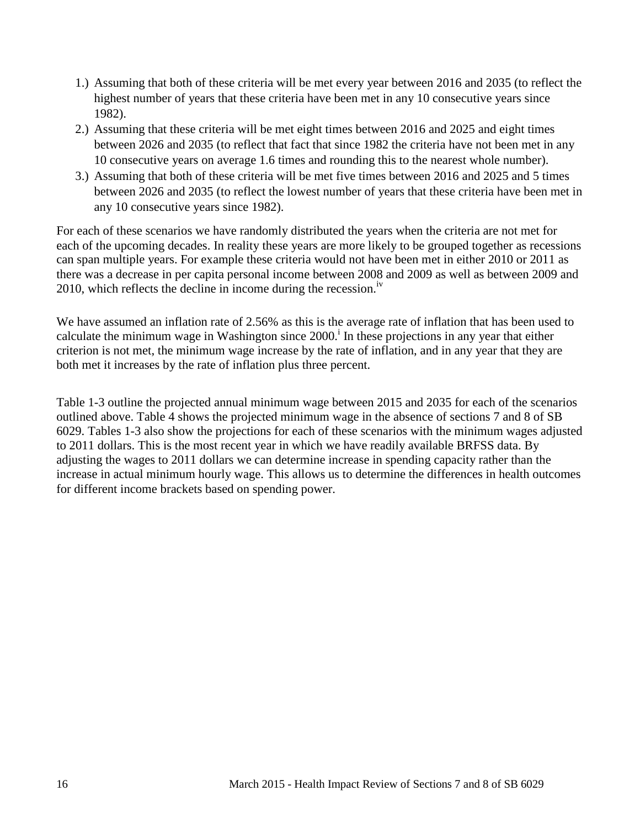- 1.) Assuming that both of these criteria will be met every year between 2016 and 2035 (to reflect the highest number of years that these criteria have been met in any 10 consecutive years since 1982).
- 2.) Assuming that these criteria will be met eight times between 2016 and 2025 and eight times between 2026 and 2035 (to reflect that fact that since 1982 the criteria have not been met in any 10 consecutive years on average 1.6 times and rounding this to the nearest whole number).
- 3.) Assuming that both of these criteria will be met five times between 2016 and 2025 and 5 times between 2026 and 2035 (to reflect the lowest number of years that these criteria have been met in any 10 consecutive years since 1982).

For each of these scenarios we have randomly distributed the years when the criteria are not met for each of the upcoming decades. In reality these years are more likely to be grouped together as recessions can span multiple years. For example these criteria would not have been met in either 2010 or 2011 as there was a decrease in per capita personal income between 2008 and 2009 as well as between 2009 and 2010, which reflects the decline in income during the recession.<sup>iv</sup>

We have assumed an inflation rate of 2.56% as this is the average rate of inflation that has been used to calculate the minimum wage in Washington since  $2000$ .<sup>i</sup> In these projections in any year that either criterion is not met, the minimum wage increase by the rate of inflation, and in any year that they are both met it increases by the rate of inflation plus three percent.

Table 1-3 outline the projected annual minimum wage between 2015 and 2035 for each of the scenarios outlined above. Table 4 shows the projected minimum wage in the absence of sections 7 and 8 of SB 6029. Tables 1-3 also show the projections for each of these scenarios with the minimum wages adjusted to 2011 dollars. This is the most recent year in which we have readily available BRFSS data. By adjusting the wages to 2011 dollars we can determine increase in spending capacity rather than the increase in actual minimum hourly wage. This allows us to determine the differences in health outcomes for different income brackets based on spending power.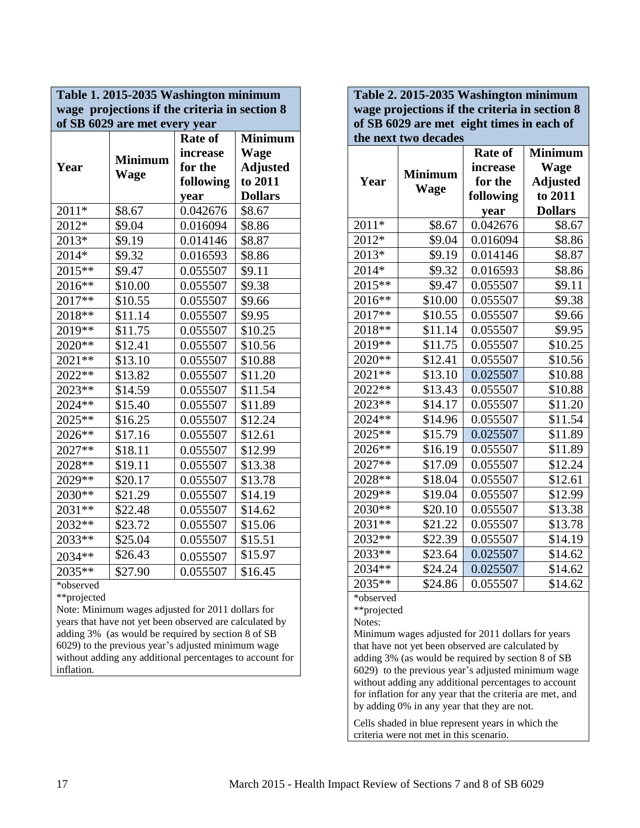| Table 1. 2015-2035 Washington minimum         |                |                |                 |  |
|-----------------------------------------------|----------------|----------------|-----------------|--|
| wage projections if the criteria in section 8 |                |                |                 |  |
| of SB 6029 are met every year                 |                |                |                 |  |
|                                               |                | <b>Rate of</b> | <b>Minimum</b>  |  |
|                                               | <b>Minimum</b> | increase       | <b>Wage</b>     |  |
| Year                                          | Wage           | for the        | <b>Adjusted</b> |  |
|                                               |                | following      | to 2011         |  |
|                                               |                | year           | <b>Dollars</b>  |  |
| $2011*$                                       | \$8.67         | 0.042676       | \$8.67          |  |
| 2012*                                         | \$9.04         | 0.016094       | \$8.86          |  |
| 2013*                                         | \$9.19         | 0.014146       | \$8.87          |  |
| $2014*$                                       | \$9.32         | 0.016593       | \$8.86          |  |
| $2015**$                                      | \$9.47         | 0.055507       | \$9.11          |  |
| 2016**                                        | \$10.00        | 0.055507       | \$9.38          |  |
| 2017**                                        | \$10.55        | 0.055507       | \$9.66          |  |
| $2018**$                                      | \$11.14        | 0.055507       | \$9.95          |  |
| $2019**$                                      | \$11.75        | 0.055507       | \$10.25         |  |
| 2020**                                        | \$12.41        | 0.055507       | \$10.56         |  |
| $2021**$                                      | \$13.10        | 0.055507       | \$10.88         |  |
| $2022**$                                      | \$13.82        | 0.055507       | \$11.20         |  |
| 2023**                                        | \$14.59        | 0.055507       | \$11.54         |  |
| 2024**                                        | \$15.40        | 0.055507       | \$11.89         |  |
| $2025**$                                      | \$16.25        | 0.055507       | \$12.24         |  |
| $2026$ **                                     | \$17.16        | 0.055507       | \$12.61         |  |
| $2027**$                                      | \$18.11        | 0.055507       | \$12.99         |  |
| $2028**$                                      | \$19.11        | 0.055507       | \$13.38         |  |
| $2029**$                                      | \$20.17        | 0.055507       | \$13.78         |  |
| $2030**$                                      | \$21.29        | 0.055507       | \$14.19         |  |
| $2031$ **                                     | \$22.48        | 0.055507       | \$14.62         |  |
| $2032**$                                      | \$23.72        | 0.055507       | \$15.06         |  |
| 2033**                                        | \$25.04        | 0.055507       | \$15.51         |  |
| 2034**                                        | \$26.43        | 0.055507       | \$15.97         |  |
| $2035**$                                      | \$27.90        | 0.055507       | \$16.45         |  |
| *observed                                     |                |                |                 |  |

\*\*projected

Note: Minimum wages adjusted for 2011 dollars for years that have not yet been observed are calculated by adding 3% (as would be required by section 8 of SB 6029) to the previous year's adjusted minimum wage without adding any additional percentages to account for inflation.

| Table 2. 2015-2035 Washington minimum                                                      |                      |                            |                               |  |  |
|--------------------------------------------------------------------------------------------|----------------------|----------------------------|-------------------------------|--|--|
| wage projections if the criteria in section 8<br>of SB 6029 are met eight times in each of |                      |                            |                               |  |  |
|                                                                                            | the next two decades |                            |                               |  |  |
|                                                                                            |                      | <b>Rate of</b><br>increase | <b>Minimum</b><br><b>Wage</b> |  |  |
| Year                                                                                       | <b>Minimum</b>       | for the                    | <b>Adjusted</b>               |  |  |
|                                                                                            | <b>Wage</b>          | following                  | to 2011                       |  |  |
|                                                                                            |                      | year                       | <b>Dollars</b>                |  |  |
| $2011*$                                                                                    | \$8.67               | 0.042676                   | \$8.67                        |  |  |
| 2012*                                                                                      | \$9.04               | 0.016094                   | \$8.86                        |  |  |
| 2013*                                                                                      | \$9.19               | 0.014146                   | \$8.87                        |  |  |
| 2014*                                                                                      | \$9.32               | 0.016593                   | \$8.86                        |  |  |
| 2015**                                                                                     | \$9.47               | 0.055507                   | \$9.11                        |  |  |
| 2016**                                                                                     | \$10.00              | 0.055507                   | \$9.38                        |  |  |
| 2017**                                                                                     | \$10.55              | 0.055507                   | \$9.66                        |  |  |
| $2018**$                                                                                   | \$11.14              | 0.055507                   | \$9.95                        |  |  |
| $2019**$                                                                                   | \$11.75              | 0.055507                   | \$10.25                       |  |  |
| $2020**$                                                                                   | \$12.41              | 0.055507                   | \$10.56                       |  |  |
| $2021**$                                                                                   | \$13.10              | 0.025507                   | \$10.88                       |  |  |
| 2022**                                                                                     | \$13.43              | 0.055507                   | \$10.88                       |  |  |
| 2023**                                                                                     | \$14.17              | 0.055507                   | \$11.20                       |  |  |
| 2024**                                                                                     | \$14.96              | 0.055507                   | \$11.54                       |  |  |
| 2025**                                                                                     | \$15.79              | 0.025507                   | \$11.89                       |  |  |
| $2026**$                                                                                   | \$16.19              | 0.055507                   | \$11.89                       |  |  |
| 2027**                                                                                     | \$17.09              | 0.055507                   | \$12.24                       |  |  |
| 2028**                                                                                     | \$18.04              | 0.055507                   | \$12.61                       |  |  |
| 2029**                                                                                     | \$19.04              | 0.055507                   | \$12.99                       |  |  |
| 2030**                                                                                     | \$20.10              | 0.055507                   | \$13.38                       |  |  |
| $2031**$                                                                                   | \$21.22              | 0.055507                   | \$13.78                       |  |  |
| 2032**                                                                                     | \$22.39              | 0.055507                   | \$14.19                       |  |  |
| 2033**                                                                                     | \$23.64              | 0.025507                   | \$14.62                       |  |  |
| $2034**$                                                                                   | \$24.24              | 0.025507                   | \$14.62                       |  |  |
| $2035**$                                                                                   | \$24.86              | 0.055507                   | \$14.62                       |  |  |
| *observed                                                                                  |                      |                            |                               |  |  |

\*\*projected

Notes:

Minimum wages adjusted for 2011 dollars for years that have not yet been observed are calculated by adding 3% (as would be required by section 8 of SB 6029) to the previous year's adjusted minimum wage without adding any additional percentages to account for inflation for any year that the criteria are met, and by adding 0% in any year that they are not.

Cells shaded in blue represent years in which the criteria were not met in this scenario.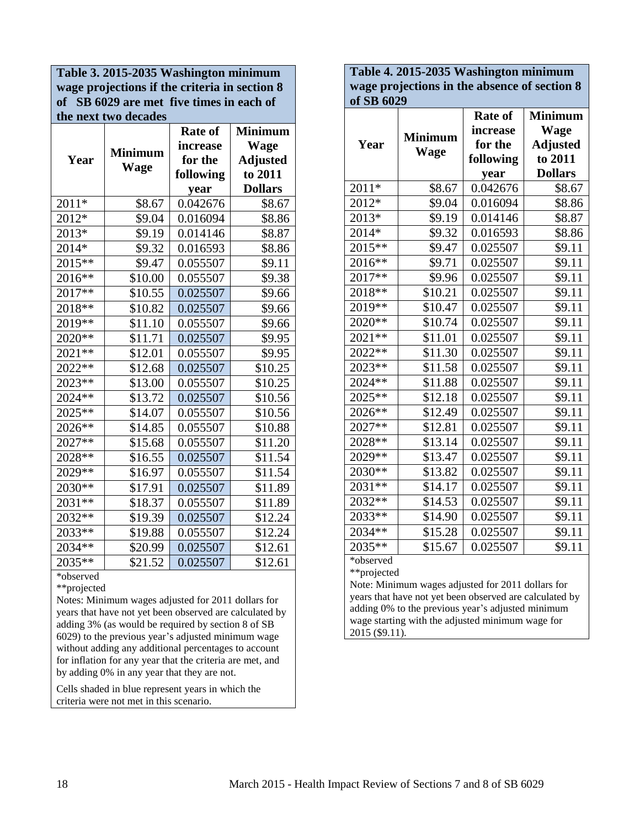**Table 3. 2015-2035 Washington minimum wage projections if the criteria in section 8 of SB 6029 are met five times in each of the next two decades**

|          |                | <b>Rate of</b> | <b>Minimum</b>  |
|----------|----------------|----------------|-----------------|
|          |                | increase       | <b>Wage</b>     |
| Year     | <b>Minimum</b> | for the        | <b>Adjusted</b> |
|          | Wage           | following      | to 2011         |
|          |                | year           | <b>Dollars</b>  |
| 2011*    | \$8.67         | 0.042676       | \$8.67          |
| 2012*    | \$9.04         | 0.016094       | \$8.86          |
| 2013*    | \$9.19         | 0.014146       | \$8.87          |
| 2014*    | \$9.32         | 0.016593       | \$8.86          |
| 2015**   | \$9.47         | 0.055507       | \$9.11          |
| 2016**   | \$10.00        | 0.055507       | \$9.38          |
| 2017**   | \$10.55        | 0.025507       | \$9.66          |
| 2018**   | \$10.82        | 0.025507       | \$9.66          |
| $2019**$ | \$11.10        | 0.055507       | \$9.66          |
| $2020**$ | \$11.71        | 0.025507       | \$9.95          |
| $2021**$ | \$12.01        | 0.055507       | \$9.95          |
| 2022**   | \$12.68        | 0.025507       | \$10.25         |
| 2023**   | \$13.00        | 0.055507       | \$10.25         |
| 2024 **  | \$13.72        | 0.025507       | \$10.56         |
| 2025**   | \$14.07        | 0.055507       | \$10.56         |
| 2026**   | \$14.85        | 0.055507       | \$10.88         |
| 2027**   | \$15.68        | 0.055507       | \$11.20         |
| 2028 **  | \$16.55        | 0.025507       | \$11.54         |
| 2029 **  | \$16.97        | 0.055507       | \$11.54         |
| 2030**   | \$17.91        | 0.025507       | \$11.89         |
| 2031**   | \$18.37        | 0.055507       | \$11.89         |
| 2032**   | \$19.39        | 0.025507       | \$12.24         |
| 2033**   | \$19.88        | 0.055507       | \$12.24         |
| 2034**   | \$20.99        | 0.025507       | \$12.61         |
| $2035**$ | \$21.52        | 0.025507       | \$12.61         |

\*observed

\*\*projected

Notes: Minimum wages adjusted for 2011 dollars for years that have not yet been observed are calculated by adding 3% (as would be required by section 8 of SB 6029) to the previous year's adjusted minimum wage without adding any additional percentages to account for inflation for any year that the criteria are met, and by adding 0% in any year that they are not.

Cells shaded in blue represent years in which the criteria were not met in this scenario.

**Table 4. 2015-2035 Washington minimum wage projections in the absence of section 8 of SB 6029**

|                    |                | <b>Rate of</b> | <b>Minimum</b>  |
|--------------------|----------------|----------------|-----------------|
|                    | <b>Minimum</b> | increase       | <b>Wage</b>     |
| Year               |                | for the        | <b>Adjusted</b> |
|                    | <b>Wage</b>    | following      | to 2011         |
|                    |                | year           | <b>Dollars</b>  |
| $201\overline{1*}$ | \$8.67         | 0.042676       | \$8.67          |
| 2012*              | \$9.04         | 0.016094       | \$8.86          |
| 2013*              | \$9.19         | 0.014146       | \$8.87          |
| 2014*              | \$9.32         | 0.016593       | \$8.86          |
| 2015**             | \$9.47         | 0.025507       | \$9.11          |
| $2016**$           | \$9.71         | 0.025507       | \$9.11          |
| $2017**$           | \$9.96         | 0.025507       | \$9.11          |
| $2018**$           | \$10.21        | 0.025507       | \$9.11          |
| $2019**$           | \$10.47        | 0.025507       | \$9.11          |
| $2020**$           | \$10.74        | 0.025507       | \$9.11          |
| 2021**             | \$11.01        | 0.025507       | \$9.11          |
| 2022**             | \$11.30        | 0.025507       | \$9.11          |
| 2023**             | \$11.58        | 0.025507       | \$9.11          |
| $2024**$           | \$11.88        | 0.025507       | \$9.11          |
| $2025**$           | \$12.18        | 0.025507       | \$9.11          |
| $2026**$           | \$12.49        | 0.025507       | \$9.11          |
| 2027**             | \$12.81        | 0.025507       | \$9.11          |
| 2028**             | \$13.14        | 0.025507       | \$9.11          |
| 2029**             | \$13.47        | 0.025507       | \$9.11          |
| 2030**             | \$13.82        | 0.025507       | \$9.11          |
| $2031**$           | \$14.17        | 0.025507       | \$9.11          |
| 2032**             | \$14.53        | 0.025507       | \$9.11          |
| 2033**             | \$14.90        | 0.025507       | \$9.11          |
| $2034**$           | \$15.28        | 0.025507       | \$9.11          |
| $2035**$           | \$15.67        | 0.025507       | \$9.11          |

\*observed

\*\*projected

Note: Minimum wages adjusted for 2011 dollars for years that have not yet been observed are calculated by adding 0% to the previous year's adjusted minimum wage starting with the adjusted minimum wage for 2015 (\$9.11).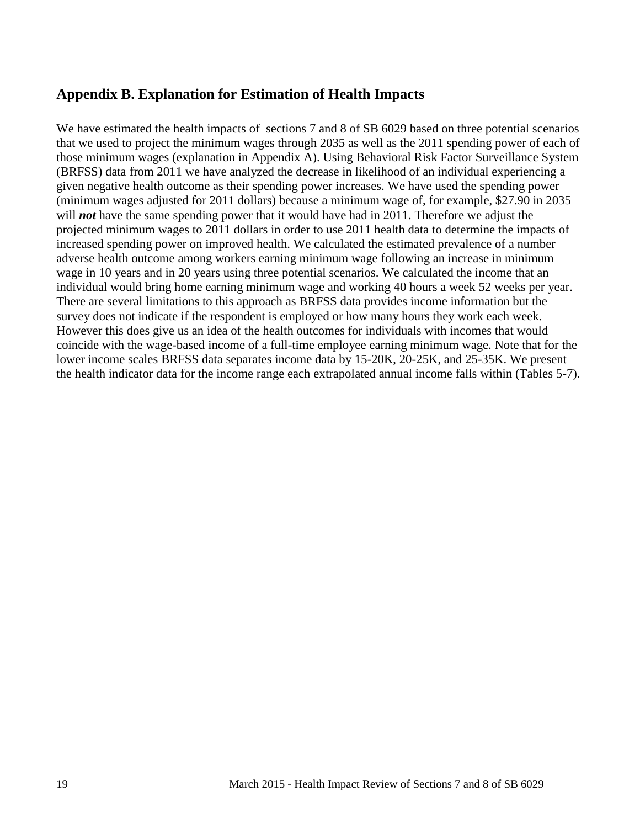# **Appendix B. Explanation for Estimation of Health Impacts**

We have estimated the health impacts of sections 7 and 8 of SB 6029 based on three potential scenarios that we used to project the minimum wages through 2035 as well as the 2011 spending power of each of those minimum wages (explanation in Appendix A). Using Behavioral Risk Factor Surveillance System (BRFSS) data from 2011 we have analyzed the decrease in likelihood of an individual experiencing a given negative health outcome as their spending power increases. We have used the spending power (minimum wages adjusted for 2011 dollars) because a minimum wage of, for example, \$27.90 in 2035 will *not* have the same spending power that it would have had in 2011. Therefore we adjust the projected minimum wages to 2011 dollars in order to use 2011 health data to determine the impacts of increased spending power on improved health. We calculated the estimated prevalence of a number adverse health outcome among workers earning minimum wage following an increase in minimum wage in 10 years and in 20 years using three potential scenarios. We calculated the income that an individual would bring home earning minimum wage and working 40 hours a week 52 weeks per year. There are several limitations to this approach as BRFSS data provides income information but the survey does not indicate if the respondent is employed or how many hours they work each week. However this does give us an idea of the health outcomes for individuals with incomes that would coincide with the wage-based income of a full-time employee earning minimum wage. Note that for the lower income scales BRFSS data separates income data by 15-20K, 20-25K, and 25-35K. We present the health indicator data for the income range each extrapolated annual income falls within (Tables 5-7).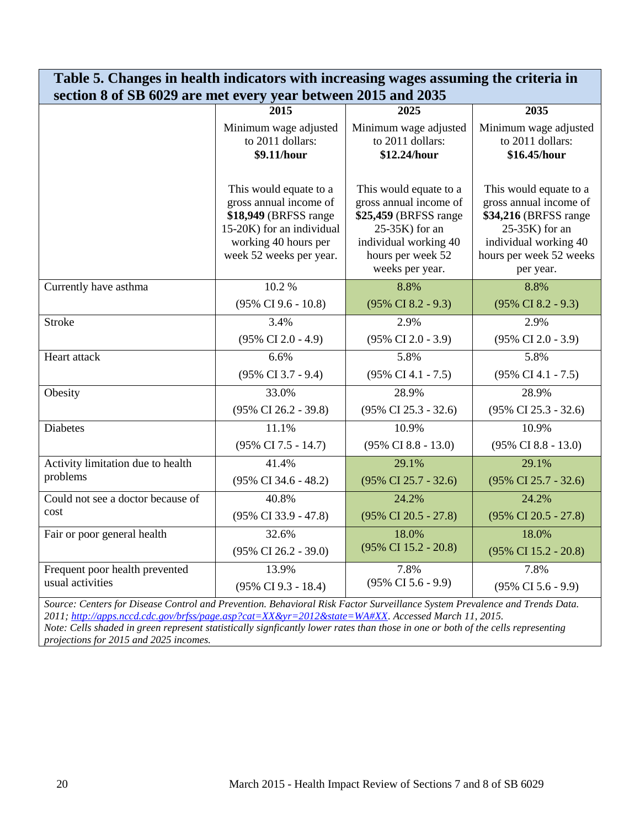| section 8 of SB 6029 are met every year between 2015 and 2035 |                                                                                                                                                            |                                                                                                                                                                  |                                                                                                                                                                  |  |
|---------------------------------------------------------------|------------------------------------------------------------------------------------------------------------------------------------------------------------|------------------------------------------------------------------------------------------------------------------------------------------------------------------|------------------------------------------------------------------------------------------------------------------------------------------------------------------|--|
|                                                               | 2015                                                                                                                                                       | 2025                                                                                                                                                             | 2035                                                                                                                                                             |  |
|                                                               | Minimum wage adjusted<br>to 2011 dollars:<br>\$9.11/hour                                                                                                   | Minimum wage adjusted<br>to 2011 dollars:<br>\$12.24/hour                                                                                                        | Minimum wage adjusted<br>to 2011 dollars:<br>\$16.45/hour                                                                                                        |  |
|                                                               | This would equate to a<br>gross annual income of<br>\$18,949 (BRFSS range)<br>15-20K) for an individual<br>working 40 hours per<br>week 52 weeks per year. | This would equate to a<br>gross annual income of<br>\$25,459 (BRFSS range)<br>$25-35K$ ) for an<br>individual working 40<br>hours per week 52<br>weeks per year. | This would equate to a<br>gross annual income of<br>\$34,216 (BRFSS range)<br>$25-35K$ ) for an<br>individual working 40<br>hours per week 52 weeks<br>per year. |  |
| Currently have asthma                                         | 10.2%                                                                                                                                                      | 8.8%                                                                                                                                                             | 8.8%                                                                                                                                                             |  |
|                                                               | $(95\% \text{ CI } 9.6 - 10.8)$                                                                                                                            | $(95\% \text{ CI } 8.2 - 9.3)$                                                                                                                                   | $(95\% \text{ CI } 8.2 - 9.3)$                                                                                                                                   |  |
| <b>Stroke</b>                                                 | 3.4%                                                                                                                                                       | 2.9%                                                                                                                                                             | 2.9%                                                                                                                                                             |  |
|                                                               | $(95\% \text{ CI } 2.0 - 4.9)$                                                                                                                             | $(95\% \text{ CI } 2.0 - 3.9)$                                                                                                                                   | $(95\% \text{ CI } 2.0 - 3.9)$                                                                                                                                   |  |
| Heart attack                                                  | 6.6%                                                                                                                                                       | 5.8%                                                                                                                                                             | 5.8%                                                                                                                                                             |  |
|                                                               | $(95\% \text{ CI } 3.7 - 9.4)$                                                                                                                             | $(95\% \text{ CI } 4.1 - 7.5)$                                                                                                                                   | $(95\% \text{ CI } 4.1 - 7.5)$                                                                                                                                   |  |
| Obesity                                                       | 33.0%                                                                                                                                                      | 28.9%                                                                                                                                                            | 28.9%                                                                                                                                                            |  |
|                                                               | $(95\% \text{ CI } 26.2 - 39.8)$                                                                                                                           | $(95\% \text{ CI } 25.3 - 32.6)$                                                                                                                                 | (95% CI 25.3 - 32.6)                                                                                                                                             |  |
| Diabetes                                                      | 11.1%                                                                                                                                                      | 10.9%                                                                                                                                                            | 10.9%                                                                                                                                                            |  |
|                                                               | $(95\% \text{ CI } 7.5 - 14.7)$                                                                                                                            | $(95\% \text{ CI } 8.8 - 13.0)$                                                                                                                                  | $(95\% \text{ CI } 8.8 - 13.0)$                                                                                                                                  |  |
| Activity limitation due to health                             | 41.4%                                                                                                                                                      | 29.1%                                                                                                                                                            | 29.1%                                                                                                                                                            |  |
| problems                                                      | $(95\% \text{ CI } 34.6 - 48.2)$                                                                                                                           | $(95\% \text{ CI } 25.7 - 32.6)$                                                                                                                                 | $(95\% \text{ CI } 25.7 - 32.6)$                                                                                                                                 |  |
| Could not see a doctor because of                             | 40.8%                                                                                                                                                      | 24.2%                                                                                                                                                            | 24.2%                                                                                                                                                            |  |
| cost                                                          | $(95\% \text{ CI } 33.9 - 47.8)$                                                                                                                           | $(95\% \text{ CI } 20.5 - 27.8)$                                                                                                                                 | $(95\% \text{ CI } 20.5 - 27.8)$                                                                                                                                 |  |
| Fair or poor general health                                   | 32.6%                                                                                                                                                      | 18.0%                                                                                                                                                            | 18.0%                                                                                                                                                            |  |
|                                                               | $(95\% \text{ CI } 26.2 - 39.0)$                                                                                                                           | (95% CI 15.2 - 20.8)                                                                                                                                             | (95% CI 15.2 - 20.8)                                                                                                                                             |  |
| Frequent poor health prevented                                | 13.9%                                                                                                                                                      | 7.8%                                                                                                                                                             | 7.8%                                                                                                                                                             |  |
| usual activities                                              | (95% CI 9.3 - 18.4)                                                                                                                                        | $(95\% \text{ CI } 5.6 - 9.9)$                                                                                                                                   | $(95\% \text{ CI } 5.6 - 9.9)$                                                                                                                                   |  |

**Table 5. Changes in health indicators with increasing wages assuming the criteria in**

*Source: Centers for Disease Control and Prevention. Behavioral Risk Factor Surveillance System Prevalence and Trends Data. 2011; [http://apps.nccd.cdc.gov/brfss/page.asp?cat=XX&yr=2012&state=WA#XX.](http://apps.nccd.cdc.gov/brfss/page.asp?cat=XX&yr=2012&state=WA#XX) Accessed March 11, 2015. Note: Cells shaded in green represent statistically signficantly lower rates than those in one or both of the cells representing projections for 2015 and 2025 incomes.*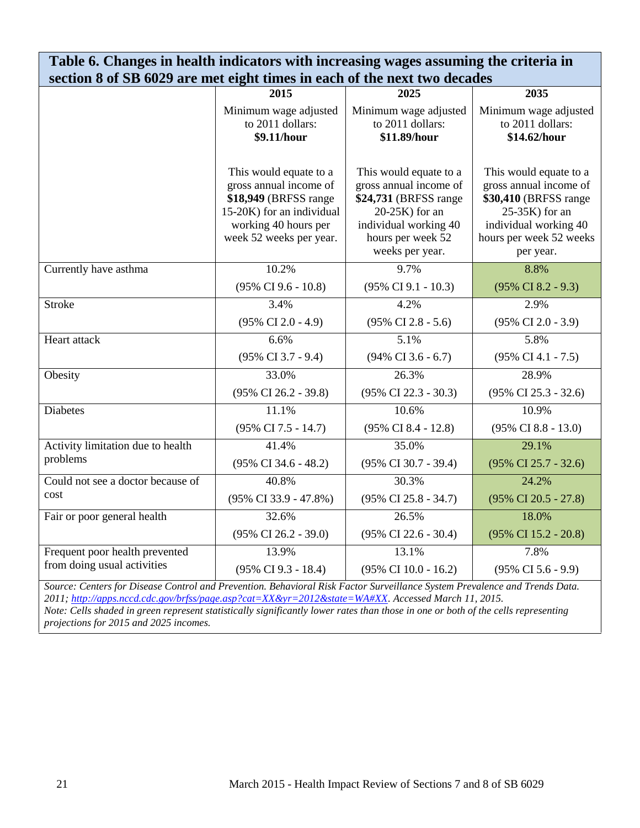| Table 6. Changes in health indicators with increasing wages assuming the criteria in                                       |                                                                                                                                                           |                                                                                                                                                                  |                                                                                                                                                                 |  |  |
|----------------------------------------------------------------------------------------------------------------------------|-----------------------------------------------------------------------------------------------------------------------------------------------------------|------------------------------------------------------------------------------------------------------------------------------------------------------------------|-----------------------------------------------------------------------------------------------------------------------------------------------------------------|--|--|
| section 8 of SB 6029 are met eight times in each of the next two decades                                                   |                                                                                                                                                           |                                                                                                                                                                  |                                                                                                                                                                 |  |  |
|                                                                                                                            | 2015                                                                                                                                                      | 2025                                                                                                                                                             | 2035                                                                                                                                                            |  |  |
|                                                                                                                            | Minimum wage adjusted<br>to 2011 dollars:<br>\$9.11/hour                                                                                                  | Minimum wage adjusted<br>to 2011 dollars:<br>\$11.89/hour                                                                                                        | Minimum wage adjusted<br>to 2011 dollars:<br>\$14.62/hour                                                                                                       |  |  |
|                                                                                                                            | This would equate to a<br>gross annual income of<br>\$18,949 (BRFSS range<br>15-20K) for an individual<br>working 40 hours per<br>week 52 weeks per year. | This would equate to a<br>gross annual income of<br>\$24,731 (BRFSS range)<br>$20-25K$ ) for an<br>individual working 40<br>hours per week 52<br>weeks per year. | This would equate to a<br>gross annual income of<br>\$30,410 (BRFSS range<br>$25-35K$ ) for an<br>individual working 40<br>hours per week 52 weeks<br>per year. |  |  |
| Currently have asthma                                                                                                      | 10.2%                                                                                                                                                     | 9.7%                                                                                                                                                             | 8.8%                                                                                                                                                            |  |  |
|                                                                                                                            | $(95\% \text{ CI } 9.6 - 10.8)$                                                                                                                           | $(95\% \text{ CI } 9.1 - 10.3)$                                                                                                                                  | $(95\% \text{ CI } 8.2 - 9.3)$                                                                                                                                  |  |  |
| <b>Stroke</b>                                                                                                              | 3.4%                                                                                                                                                      | 4.2%                                                                                                                                                             | 2.9%                                                                                                                                                            |  |  |
|                                                                                                                            | $(95\% \text{ CI } 2.0 - 4.9)$                                                                                                                            | $(95\% \text{ CI } 2.8 - 5.6)$                                                                                                                                   | $(95\% \text{ CI } 2.0 - 3.9)$                                                                                                                                  |  |  |
| Heart attack                                                                                                               | 6.6%                                                                                                                                                      | 5.1%                                                                                                                                                             | 5.8%                                                                                                                                                            |  |  |
|                                                                                                                            | $(95\% \text{ CI } 3.7 - 9.4)$                                                                                                                            | $(94\% \text{ CI } 3.6 - 6.7)$                                                                                                                                   | $(95\% \text{ CI } 4.1 - 7.5)$                                                                                                                                  |  |  |
| Obesity                                                                                                                    | 33.0%                                                                                                                                                     | 26.3%                                                                                                                                                            | 28.9%                                                                                                                                                           |  |  |
|                                                                                                                            | $(95\% \text{ CI } 26.2 - 39.8)$                                                                                                                          | $(95\% \text{ CI } 22.3 - 30.3)$                                                                                                                                 | $(95\% \text{ CI } 25.3 - 32.6)$                                                                                                                                |  |  |
| <b>Diabetes</b>                                                                                                            | 11.1%                                                                                                                                                     | 10.6%                                                                                                                                                            | 10.9%                                                                                                                                                           |  |  |
|                                                                                                                            | (95% CI 7.5 - 14.7)                                                                                                                                       | $(95\% \text{ CI } 8.4 - 12.8)$                                                                                                                                  | $(95\% \text{ CI } 8.8 - 13.0)$                                                                                                                                 |  |  |
| Activity limitation due to health                                                                                          | 41.4%                                                                                                                                                     | 35.0%                                                                                                                                                            | 29.1%                                                                                                                                                           |  |  |
| problems                                                                                                                   | (95% CI 34.6 - 48.2)                                                                                                                                      | (95% CI 30.7 - 39.4)                                                                                                                                             | $(95\% \text{ CI } 25.7 - 32.6)$                                                                                                                                |  |  |
| Could not see a doctor because of                                                                                          | 40.8%                                                                                                                                                     | 30.3%                                                                                                                                                            | 24.2%                                                                                                                                                           |  |  |
| cost                                                                                                                       | $(95\% \text{ CI } 33.9 - 47.8\%)$                                                                                                                        | $(95\% \text{ CI } 25.8 - 34.7)$                                                                                                                                 | $(95\% \text{ CI } 20.5 - 27.8)$                                                                                                                                |  |  |
| Fair or poor general health                                                                                                | 32.6%                                                                                                                                                     | 26.5%                                                                                                                                                            | 18.0%                                                                                                                                                           |  |  |
|                                                                                                                            | $(95\% \text{ CI } 26.2 - 39.0)$                                                                                                                          | (95% CI 22.6 - 30.4)                                                                                                                                             | $(95\% \text{ CI } 15.2 - 20.8)$                                                                                                                                |  |  |
| Frequent poor health prevented                                                                                             | 13.9%                                                                                                                                                     | 13.1%                                                                                                                                                            | 7.8%                                                                                                                                                            |  |  |
| from doing usual activities                                                                                                | (95% CI 9.3 - 18.4)                                                                                                                                       | (95% CI 10.0 - 16.2)                                                                                                                                             | $(95\% \text{ CI } 5.6 - 9.9)$                                                                                                                                  |  |  |
| Source: Centers for Disease Control and Prevention. Behavioral Risk Factor Surveillance System Prevalence and Trends Data. |                                                                                                                                                           |                                                                                                                                                                  |                                                                                                                                                                 |  |  |

*2011; [http://apps.nccd.cdc.gov/brfss/page.asp?cat=XX&yr=2012&state=WA#XX.](http://apps.nccd.cdc.gov/brfss/page.asp?cat=XX&yr=2012&state=WA#XX) Accessed March 11, 2015. Note: Cells shaded in green represent statistically significantly lower rates than those in one or both of the cells representing projections for 2015 and 2025 incomes.*